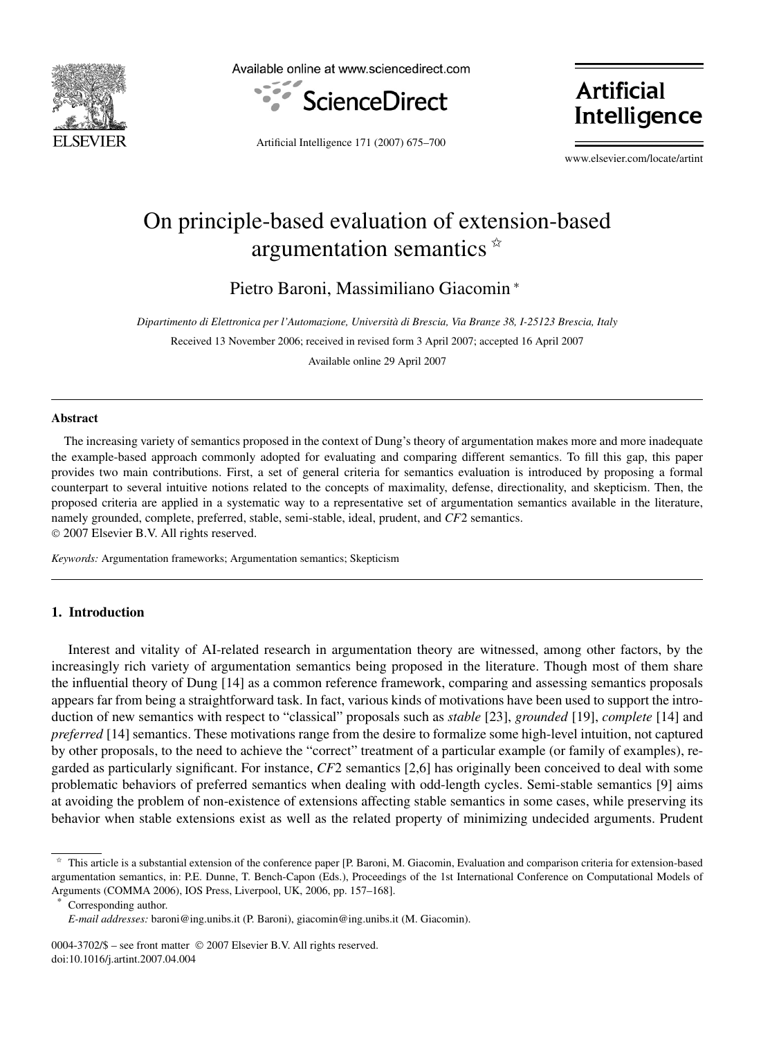

Available online at www.sciencedirect.com



**Artificial** Intelligence

Artificial Intelligence 171 (2007) 675–700

www.elsevier.com/locate/artint

# On principle-based evaluation of extension-based argumentation semantics  $\dot{x}$

Pietro Baroni, Massimiliano Giacomin <sup>∗</sup>

*Dipartimento di Elettronica per l'Automazione, Università di Brescia, Via Branze 38, I-25123 Brescia, Italy*

Received 13 November 2006; received in revised form 3 April 2007; accepted 16 April 2007

Available online 29 April 2007

#### **Abstract**

The increasing variety of semantics proposed in the context of Dung's theory of argumentation makes more and more inadequate the example-based approach commonly adopted for evaluating and comparing different semantics. To fill this gap, this paper provides two main contributions. First, a set of general criteria for semantics evaluation is introduced by proposing a formal counterpart to several intuitive notions related to the concepts of maximality, defense, directionality, and skepticism. Then, the proposed criteria are applied in a systematic way to a representative set of argumentation semantics available in the literature, namely grounded, complete, preferred, stable, semi-stable, ideal, prudent, and *CF*2 semantics. © 2007 Elsevier B.V. All rights reserved.

*Keywords:* Argumentation frameworks; Argumentation semantics; Skepticism

## **1. Introduction**

Interest and vitality of AI-related research in argumentation theory are witnessed, among other factors, by the increasingly rich variety of argumentation semantics being proposed in the literature. Though most of them share the influential theory of Dung [14] as a common reference framework, comparing and assessing semantics proposals appears far from being a straightforward task. In fact, various kinds of motivations have been used to support the introduction of new semantics with respect to "classical" proposals such as *stable* [23], *grounded* [19], *complete* [14] and *preferred* [14] semantics. These motivations range from the desire to formalize some high-level intuition, not captured by other proposals, to the need to achieve the "correct" treatment of a particular example (or family of examples), regarded as particularly significant. For instance, *CF*2 semantics [2,6] has originally been conceived to deal with some problematic behaviors of preferred semantics when dealing with odd-length cycles. Semi-stable semantics [9] aims at avoiding the problem of non-existence of extensions affecting stable semantics in some cases, while preserving its behavior when stable extensions exist as well as the related property of minimizing undecided arguments. Prudent

Corresponding author.

<sup>✩</sup> This article is a substantial extension of the conference paper [P. Baroni, M. Giacomin, Evaluation and comparison criteria for extension-based argumentation semantics, in: P.E. Dunne, T. Bench-Capon (Eds.), Proceedings of the 1st International Conference on Computational Models of Arguments (COMMA 2006), IOS Press, Liverpool, UK, 2006, pp. 157–168].

*E-mail addresses:* baroni@ing.unibs.it (P. Baroni), giacomin@ing.unibs.it (M. Giacomin).

<sup>0004-3702/\$ –</sup> see front matter © 2007 Elsevier B.V. All rights reserved. doi:10.1016/j.artint.2007.04.004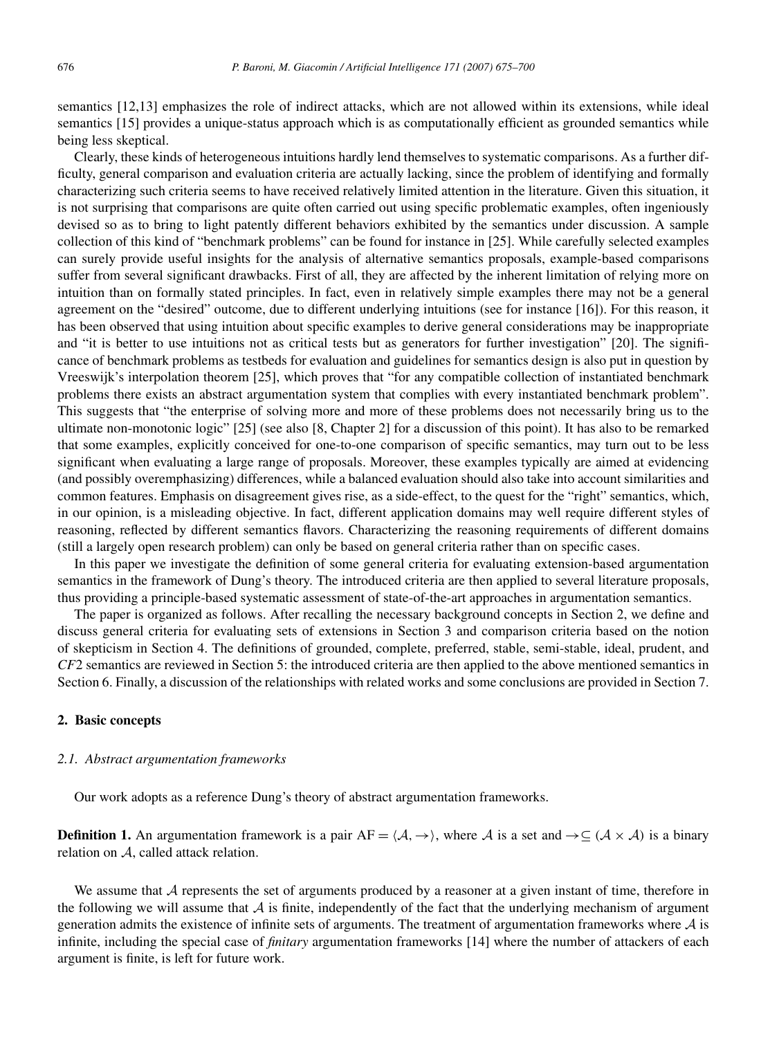semantics [12,13] emphasizes the role of indirect attacks, which are not allowed within its extensions, while ideal semantics [15] provides a unique-status approach which is as computationally efficient as grounded semantics while being less skeptical.

Clearly, these kinds of heterogeneous intuitions hardly lend themselves to systematic comparisons. As a further difficulty, general comparison and evaluation criteria are actually lacking, since the problem of identifying and formally characterizing such criteria seems to have received relatively limited attention in the literature. Given this situation, it is not surprising that comparisons are quite often carried out using specific problematic examples, often ingeniously devised so as to bring to light patently different behaviors exhibited by the semantics under discussion. A sample collection of this kind of "benchmark problems" can be found for instance in [25]. While carefully selected examples can surely provide useful insights for the analysis of alternative semantics proposals, example-based comparisons suffer from several significant drawbacks. First of all, they are affected by the inherent limitation of relying more on intuition than on formally stated principles. In fact, even in relatively simple examples there may not be a general agreement on the "desired" outcome, due to different underlying intuitions (see for instance [16]). For this reason, it has been observed that using intuition about specific examples to derive general considerations may be inappropriate and "it is better to use intuitions not as critical tests but as generators for further investigation" [20]. The significance of benchmark problems as testbeds for evaluation and guidelines for semantics design is also put in question by Vreeswijk's interpolation theorem [25], which proves that "for any compatible collection of instantiated benchmark problems there exists an abstract argumentation system that complies with every instantiated benchmark problem". This suggests that "the enterprise of solving more and more of these problems does not necessarily bring us to the ultimate non-monotonic logic" [25] (see also [8, Chapter 2] for a discussion of this point). It has also to be remarked that some examples, explicitly conceived for one-to-one comparison of specific semantics, may turn out to be less significant when evaluating a large range of proposals. Moreover, these examples typically are aimed at evidencing (and possibly overemphasizing) differences, while a balanced evaluation should also take into account similarities and common features. Emphasis on disagreement gives rise, as a side-effect, to the quest for the "right" semantics, which, in our opinion, is a misleading objective. In fact, different application domains may well require different styles of reasoning, reflected by different semantics flavors. Characterizing the reasoning requirements of different domains (still a largely open research problem) can only be based on general criteria rather than on specific cases.

In this paper we investigate the definition of some general criteria for evaluating extension-based argumentation semantics in the framework of Dung's theory. The introduced criteria are then applied to several literature proposals, thus providing a principle-based systematic assessment of state-of-the-art approaches in argumentation semantics.

The paper is organized as follows. After recalling the necessary background concepts in Section 2, we define and discuss general criteria for evaluating sets of extensions in Section 3 and comparison criteria based on the notion of skepticism in Section 4. The definitions of grounded, complete, preferred, stable, semi-stable, ideal, prudent, and *CF*2 semantics are reviewed in Section 5: the introduced criteria are then applied to the above mentioned semantics in Section 6. Finally, a discussion of the relationships with related works and some conclusions are provided in Section 7.

## **2. Basic concepts**

#### *2.1. Abstract argumentation frameworks*

Our work adopts as a reference Dung's theory of abstract argumentation frameworks.

**Definition 1.** An argumentation framework is a pair  $AF = \langle A, \rightarrow \rangle$ , where A is a set and  $\rightarrow \subseteq (\mathcal{A} \times \mathcal{A})$  is a binary relation on A, called attack relation.

We assume that A represents the set of arguments produced by a reasoner at a given instant of time, therefore in the following we will assume that  $\mathcal A$  is finite, independently of the fact that the underlying mechanism of argument generation admits the existence of infinite sets of arguments. The treatment of argumentation frameworks where  $A$  is infinite, including the special case of *finitary* argumentation frameworks [14] where the number of attackers of each argument is finite, is left for future work.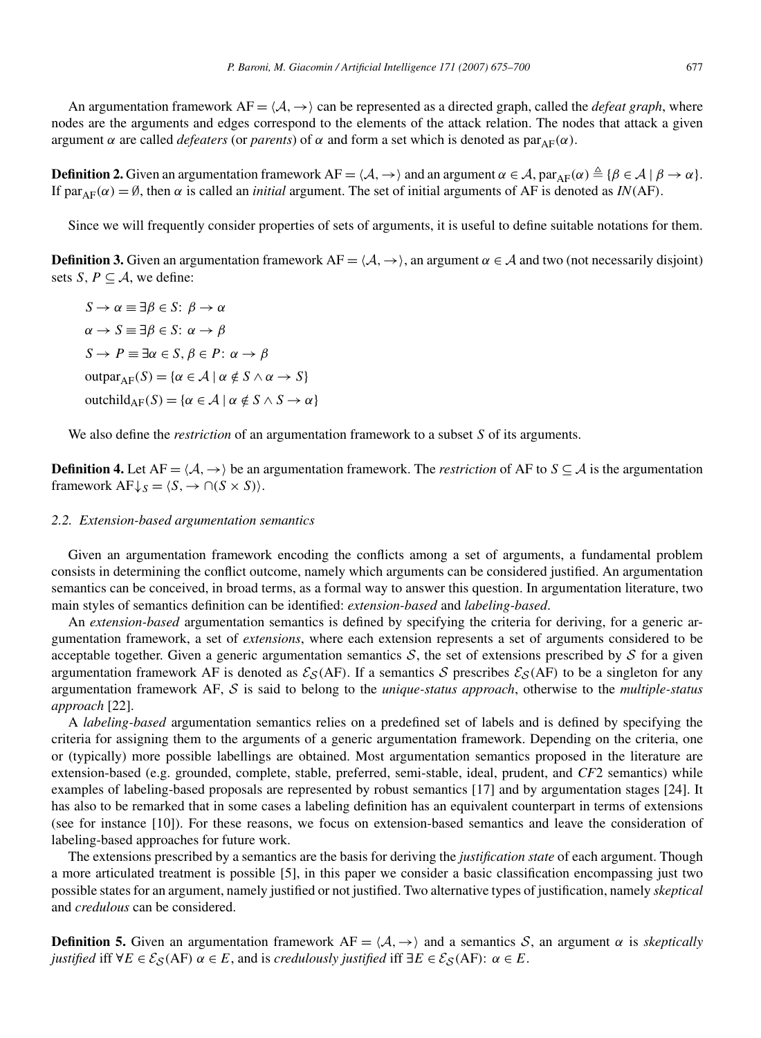An argumentation framework  $AF = \langle A, \rightarrow \rangle$  can be represented as a directed graph, called the *defeat graph*, where nodes are the arguments and edges correspond to the elements of the attack relation. The nodes that attack a given argument *α* are called *defeaters* (or *parents*) of *α* and form a set which is denoted as  $par_{AF}(α)$ .

**Definition 2.** Given an argumentation framework  $AF = \langle A, \rightarrow \rangle$  and an argument  $\alpha \in A$ ,  $par_{AF}(\alpha) \triangleq {\beta \in A | \beta \rightarrow \alpha}$ . If par<sub>AF</sub>(α) = Ø, then α is called an *initial* argument. The set of initial arguments of AF is denoted as *IN*(AF).

Since we will frequently consider properties of sets of arguments, it is useful to define suitable notations for them.

**Definition 3.** Given an argumentation framework  $AF = \langle A, \rightarrow \rangle$ , an argument  $\alpha \in A$  and two (not necessarily disjoint) sets *S*,  $P \subseteq A$ , we define:

*S* → *α* ≡ ∃*β* ∈ *S*: *β* → *α α* → *S* ≡ ∃*β* ∈ *S*: *α* → *β S* → *P*  $\equiv \exists α \in S, β \in P$ : *α* → *β*  $\text{outpar}_{\Delta F}(S) = \{ \alpha \in \mathcal{A} \mid \alpha \notin S \wedge \alpha \to S \}$ outchild<sub>AF</sub> $(S) = {\alpha \in A \mid \alpha \notin S \land S \rightarrow \alpha}$ 

We also define the *restriction* of an argumentation framework to a subset *S* of its arguments.

**Definition 4.** Let  $AF = \langle A, \rightarrow \rangle$  be an argumentation framework. The *restriction* of AF to  $S \subseteq A$  is the argumentation framework  $AF \downarrow_S = \langle S, \rightarrow \cap (S \times S) \rangle$ .

## *2.2. Extension-based argumentation semantics*

Given an argumentation framework encoding the conflicts among a set of arguments, a fundamental problem consists in determining the conflict outcome, namely which arguments can be considered justified. An argumentation semantics can be conceived, in broad terms, as a formal way to answer this question. In argumentation literature, two main styles of semantics definition can be identified: *extension-based* and *labeling-based*.

An *extension-based* argumentation semantics is defined by specifying the criteria for deriving, for a generic argumentation framework, a set of *extensions*, where each extension represents a set of arguments considered to be acceptable together. Given a generic argumentation semantics  $S$ , the set of extensions prescribed by  $S$  for a given argumentation framework AF is denoted as  $\mathcal{E}_{\mathcal{S}}(AF)$ . If a semantics S prescribes  $\mathcal{E}_{\mathcal{S}}(AF)$  to be a singleton for any argumentation framework AF, S is said to belong to the *unique-status approach*, otherwise to the *multiple-status approach* [22].

A *labeling-based* argumentation semantics relies on a predefined set of labels and is defined by specifying the criteria for assigning them to the arguments of a generic argumentation framework. Depending on the criteria, one or (typically) more possible labellings are obtained. Most argumentation semantics proposed in the literature are extension-based (e.g. grounded, complete, stable, preferred, semi-stable, ideal, prudent, and *CF*2 semantics) while examples of labeling-based proposals are represented by robust semantics [17] and by argumentation stages [24]. It has also to be remarked that in some cases a labeling definition has an equivalent counterpart in terms of extensions (see for instance [10]). For these reasons, we focus on extension-based semantics and leave the consideration of labeling-based approaches for future work.

The extensions prescribed by a semantics are the basis for deriving the *justification state* of each argument. Though a more articulated treatment is possible [5], in this paper we consider a basic classification encompassing just two possible states for an argument, namely justified or not justified. Two alternative types of justification, namely *skeptical* and *credulous* can be considered.

**Definition 5.** Given an argumentation framework AF =  $\langle A, \rightarrow \rangle$  and a semantics S, an argument  $\alpha$  is *skeptically justified* iff  $\forall E \in \mathcal{E}_{\mathcal{S}}(AF)$   $\alpha \in E$ , and is *credulously justified* iff  $\exists E \in \mathcal{E}_{\mathcal{S}}(AF)$ :  $\alpha \in E$ .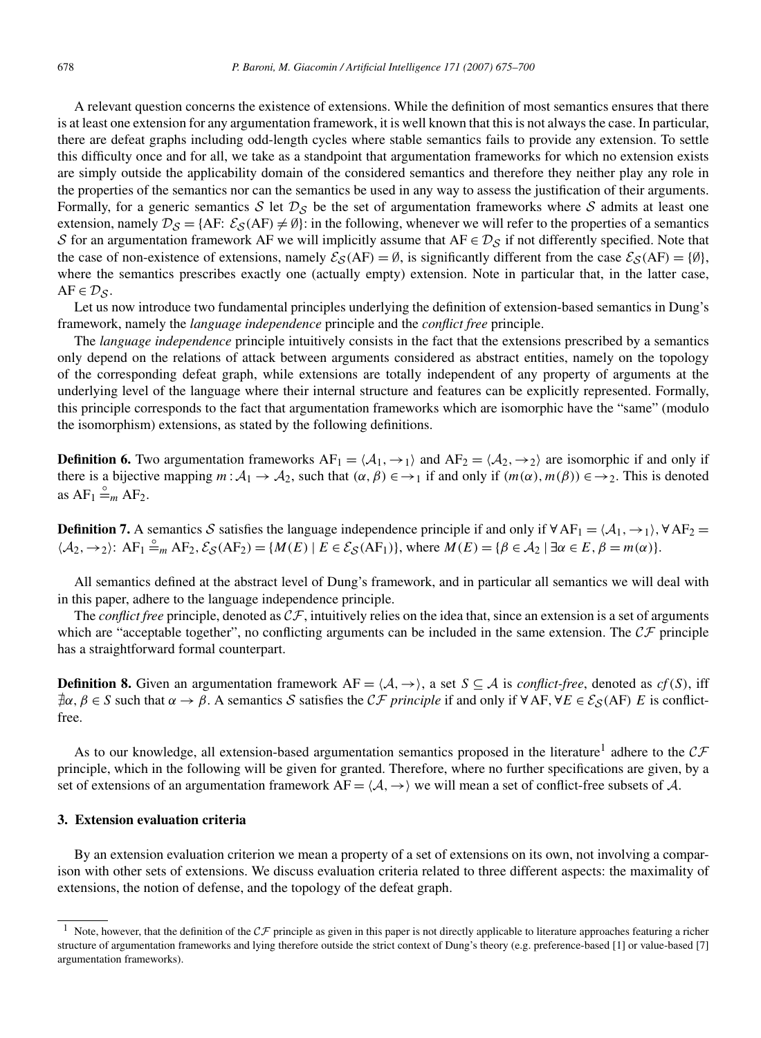A relevant question concerns the existence of extensions. While the definition of most semantics ensures that there is at least one extension for any argumentation framework, it is well known that this is not always the case. In particular, there are defeat graphs including odd-length cycles where stable semantics fails to provide any extension. To settle this difficulty once and for all, we take as a standpoint that argumentation frameworks for which no extension exists are simply outside the applicability domain of the considered semantics and therefore they neither play any role in the properties of the semantics nor can the semantics be used in any way to assess the justification of their arguments. Formally, for a generic semantics S let  $\mathcal{D}_S$  be the set of argumentation frameworks where S admits at least one extension, namely  $D_S = \{AF: \mathcal{E}_S(AF) \neq \emptyset\}$ : in the following, whenever we will refer to the properties of a semantics S for an argumentation framework AF we will implicitly assume that  $AF \in \mathcal{D}_S$  if not differently specified. Note that the case of non-existence of extensions, namely  $\mathcal{E}_{\mathcal{S}}(AF) = \emptyset$ , is significantly different from the case  $\mathcal{E}_{\mathcal{S}}(AF) = \{\emptyset\}$ , where the semantics prescribes exactly one (actually empty) extension. Note in particular that, in the latter case,  $AF \in \mathcal{D}_S$ .

Let us now introduce two fundamental principles underlying the definition of extension-based semantics in Dung's framework, namely the *language independence* principle and the *conflict free* principle.

The *language independence* principle intuitively consists in the fact that the extensions prescribed by a semantics only depend on the relations of attack between arguments considered as abstract entities, namely on the topology of the corresponding defeat graph, while extensions are totally independent of any property of arguments at the underlying level of the language where their internal structure and features can be explicitly represented. Formally, this principle corresponds to the fact that argumentation frameworks which are isomorphic have the "same" (modulo the isomorphism) extensions, as stated by the following definitions.

**Definition 6.** Two argumentation frameworks  $AF_1 = \langle A_1, \rightarrow_1 \rangle$  and  $AF_2 = \langle A_2, \rightarrow_2 \rangle$  are isomorphic if and only if there is a bijective mapping  $m: A_1 \to A_2$ , such that  $(\alpha, \beta) \in \to_1$  if and only if  $(m(\alpha), m(\beta)) \in \to_2$ . This is denoted as  $AF_1 \stackrel{\circ}{=} m \overline{AF_2}$ .

**Definition 7.** A semantics S satisfies the language independence principle if and only if  $\forall AF_1 = \langle A_1, \rightarrow_1 \rangle$ ,  $\forall AF_2 = \langle A_1, \rightarrow_1 \rangle$  $\langle A_2, \to_2 \rangle$ : AF<sub>1</sub>  $\stackrel{\circ}{=}$ <sub>*m*</sub> AF<sub>2</sub>,  $\mathcal{E}_{\mathcal{S}}(AF_2) = \{M(E) \mid E \in \mathcal{E}_{\mathcal{S}}(AF_1)\}$ , where  $M(E) = \{\beta \in \mathcal{A}_2 \mid \exists \alpha \in E, \beta = m(\alpha)\}.$ 

All semantics defined at the abstract level of Dung's framework, and in particular all semantics we will deal with in this paper, adhere to the language independence principle.

The *conflict free* principle, denoted as  $CF$ , intuitively relies on the idea that, since an extension is a set of arguments which are "acceptable together", no conflicting arguments can be included in the same extension. The  $C\mathcal{F}$  principle has a straightforward formal counterpart.

**Definition 8.** Given an argumentation framework  $AF = \langle A, \rightarrow \rangle$ , a set  $S \subseteq A$  is *conflict-free*, denoted as *cf*(*S*), iff -*α, β* <sup>∈</sup> *<sup>S</sup>* such that *<sup>α</sup>* <sup>→</sup> *<sup>β</sup>*. A semantics <sup>S</sup> satisfies the CF *principle* if and only if <sup>∀</sup>AF*,*∀*<sup>E</sup>* <sup>∈</sup> <sup>E</sup>S*(*AF*) E* is conflictfree.

As to our knowledge, all extension-based argumentation semantics proposed in the literature<sup>1</sup> adhere to the  $\mathcal{CF}$ principle, which in the following will be given for granted. Therefore, where no further specifications are given, by a set of extensions of an argumentation framework  $AF = \langle A, \rightarrow \rangle$  we will mean a set of conflict-free subsets of A.

## **3. Extension evaluation criteria**

By an extension evaluation criterion we mean a property of a set of extensions on its own, not involving a comparison with other sets of extensions. We discuss evaluation criteria related to three different aspects: the maximality of extensions, the notion of defense, and the topology of the defeat graph.

<sup>&</sup>lt;sup>1</sup> Note, however, that the definition of the  $\mathcal{CF}$  principle as given in this paper is not directly applicable to literature approaches featuring a richer structure of argumentation frameworks and lying therefore outside the strict context of Dung's theory (e.g. preference-based [1] or value-based [7] argumentation frameworks).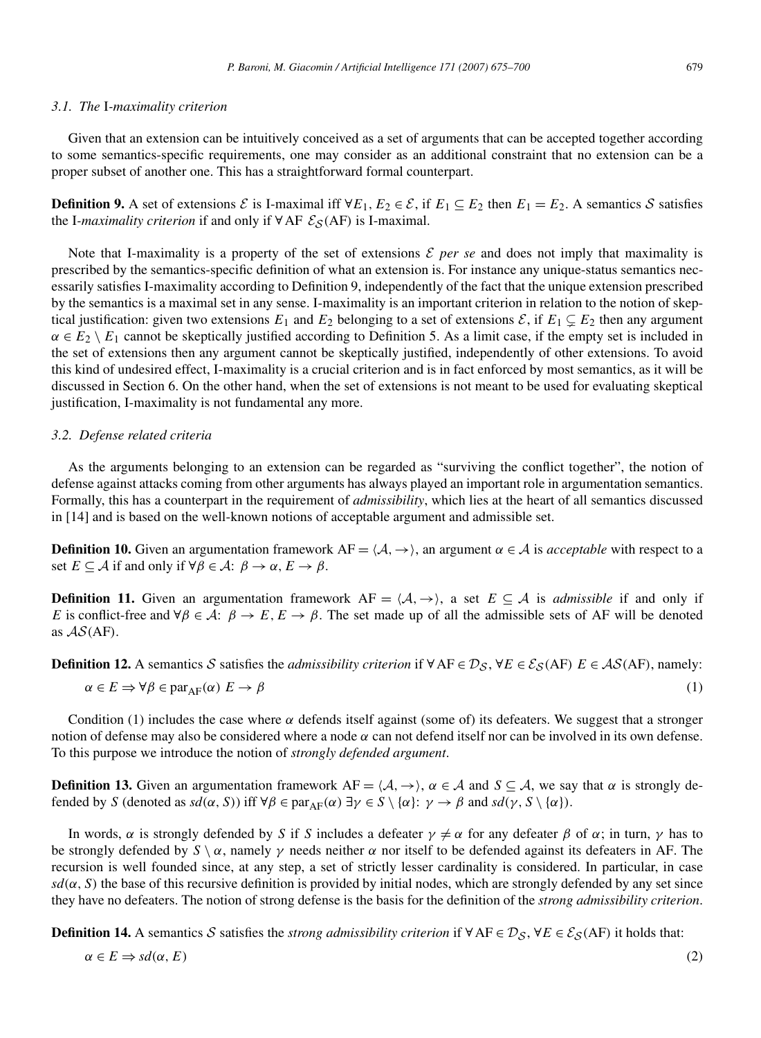#### *3.1. The* I*-maximality criterion*

Given that an extension can be intuitively conceived as a set of arguments that can be accepted together according to some semantics-specific requirements, one may consider as an additional constraint that no extension can be a proper subset of another one. This has a straightforward formal counterpart.

**Definition 9.** A set of extensions  $\mathcal{E}$  is I-maximal iff  $\forall E_1, E_2 \in \mathcal{E}$ , if  $E_1 \subseteq E_2$  then  $E_1 = E_2$ . A semantics S satisfies the I-*maximality criterion* if and only if ∀AF  $\mathcal{E}_{\mathcal{S}}(AF)$  is I-maximal.

Note that I-maximality is a property of the set of extensions  $\mathcal E$  *per se* and does not imply that maximality is prescribed by the semantics-specific definition of what an extension is. For instance any unique-status semantics necessarily satisfies I-maximality according to Definition 9, independently of the fact that the unique extension prescribed by the semantics is a maximal set in any sense. I-maximality is an important criterion in relation to the notion of skeptical justification: given two extensions  $E_1$  and  $E_2$  belonging to a set of extensions  $\mathcal{E}$ , if  $E_1 \subseteq E_2$  then any argument  $\alpha \in E_2 \setminus E_1$  cannot be skeptically justified according to Definition 5. As a limit case, if the empty set is included in the set of extensions then any argument cannot be skeptically justified, independently of other extensions. To avoid this kind of undesired effect, I-maximality is a crucial criterion and is in fact enforced by most semantics, as it will be discussed in Section 6. On the other hand, when the set of extensions is not meant to be used for evaluating skeptical justification, I-maximality is not fundamental any more.

### *3.2. Defense related criteria*

As the arguments belonging to an extension can be regarded as "surviving the conflict together", the notion of defense against attacks coming from other arguments has always played an important role in argumentation semantics. Formally, this has a counterpart in the requirement of *admissibility*, which lies at the heart of all semantics discussed in [14] and is based on the well-known notions of acceptable argument and admissible set.

**Definition 10.** Given an argumentation framework  $AF = \langle A, \rightarrow \rangle$ , an argument  $\alpha \in A$  is *acceptable* with respect to a set  $E \subseteq A$  if and only if  $\forall \beta \in A: \beta \rightarrow \alpha, E \rightarrow \beta$ .

**Definition 11.** Given an argumentation framework  $AF = \langle A, \rightarrow \rangle$ , a set  $E \subseteq A$  is *admissible* if and only if *E* is conflict-free and  $\forall \beta \in \mathcal{A}$ :  $\beta \to E$ ,  $E \to \beta$ . The set made up of all the admissible sets of AF will be denoted as  $AS(AF)$ .

**Definition 12.** A semantics S satisfies the *admissibility criterion* if  $\forall$  AF ∈  $\mathcal{D}_S$ ,  $\forall$  E ∈  $\mathcal{E}_S$ (AF)  $E \in \mathcal{AS}(AF)$ , namely:

$$
\alpha \in E \Rightarrow \forall \beta \in par_{AF}(\alpha) \ E \to \beta \tag{1}
$$

Condition (1) includes the case where  $\alpha$  defends itself against (some of) its defeaters. We suggest that a stronger notion of defense may also be considered where a node *α* can not defend itself nor can be involved in its own defense. To this purpose we introduce the notion of *strongly defended argument*.

**Definition 13.** Given an argumentation framework  $AF = \langle A, \rightarrow \rangle$ ,  $\alpha \in A$  and  $S \subseteq A$ , we say that  $\alpha$  is strongly defended by *S* (denoted as  $sd(\alpha, S)$ ) iff  $\forall \beta \in \text{par}_{AF}(\alpha) \exists \gamma \in S \setminus \{\alpha\}$ :  $\gamma \rightarrow \beta$  and  $sd(\gamma, S \setminus \{\alpha\})$ .

In words,  $\alpha$  is strongly defended by *S* if *S* includes a defeater  $\gamma \neq \alpha$  for any defeater  $\beta$  of  $\alpha$ ; in turn,  $\gamma$  has to be strongly defended by  $S \setminus \alpha$ , namely  $\gamma$  needs neither  $\alpha$  nor itself to be defended against its defeaters in AF. The recursion is well founded since, at any step, a set of strictly lesser cardinality is considered. In particular, in case  $sd(\alpha, S)$  the base of this recursive definition is provided by initial nodes, which are strongly defended by any set since they have no defeaters. The notion of strong defense is the basis for the definition of the *strong admissibility criterion*.

**Definition 14.** A semantics S satisfies the *strong admissibility criterion* if  $\forall AF \in \mathcal{D}_S$ ,  $\forall E \in \mathcal{E}_S(AF)$  it holds that:

$$
\alpha \in E \Rightarrow sd(\alpha, E) \tag{2}
$$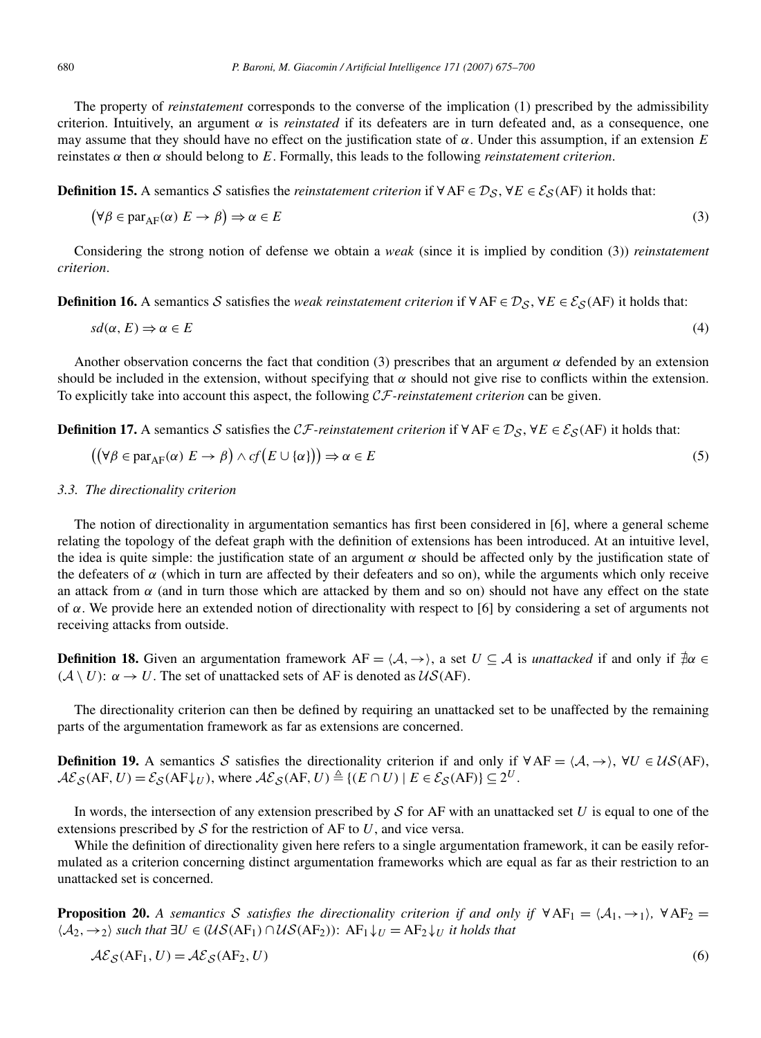The property of *reinstatement* corresponds to the converse of the implication (1) prescribed by the admissibility criterion. Intuitively, an argument  $\alpha$  is *reinstated* if its defeaters are in turn defeated and, as a consequence, one may assume that they should have no effect on the justification state of  $\alpha$ . Under this assumption, if an extension *E* reinstates *α* then *α* should belong to *E*. Formally, this leads to the following *reinstatement criterion*.

**Definition 15.** A semantics S satisfies the *reinstatement criterion* if  $\forall$  AF ∈  $\mathcal{D}_S$ ,  $\forall$  *E* ∈  $\mathcal{E}_S$ (AF) it holds that:

$$
(\forall \beta \in par_{AF}(\alpha) \ E \to \beta) \Rightarrow \alpha \in E
$$
\n(3)

Considering the strong notion of defense we obtain a *weak* (since it is implied by condition (3)) *reinstatement criterion*.

**Definition 16.** A semantics S satisfies the *weak reinstatement criterion* if  $\forall AF \in \mathcal{D}_S$ ,  $\forall E \in \mathcal{E}_S(AF)$  it holds that:

$$
sd(\alpha, E) \Rightarrow \alpha \in E
$$
\n<sup>(4)</sup>

Another observation concerns the fact that condition (3) prescribes that an argument  $\alpha$  defended by an extension should be included in the extension, without specifying that  $\alpha$  should not give rise to conflicts within the extension. To explicitly take into account this aspect, the following CF*-reinstatement criterion* can be given.

**Definition 17.** A semantics S satisfies the CF-reinstatement criterion if  $\forall AF \in \mathcal{D}_S$ ,  $\forall E \in \mathcal{E}_S(AF)$  it holds that:

$$
((\forall \beta \in par_{AF}(\alpha) E \to \beta) \land cf(E \cup \{\alpha\}) \Rightarrow \alpha \in E
$$
\n
$$
(5)
$$

#### *3.3. The directionality criterion*

The notion of directionality in argumentation semantics has first been considered in [6], where a general scheme relating the topology of the defeat graph with the definition of extensions has been introduced. At an intuitive level, the idea is quite simple: the justification state of an argument  $\alpha$  should be affected only by the justification state of the defeaters of  $\alpha$  (which in turn are affected by their defeaters and so on), while the arguments which only receive an attack from  $\alpha$  (and in turn those which are attacked by them and so on) should not have any effect on the state of *α*. We provide here an extended notion of directionality with respect to [6] by considering a set of arguments not receiving attacks from outside.

**Definition 18.** Given an argumentation framework  $AF = \langle A, \rightarrow \rangle$ , a set  $U \subseteq A$  is *unattacked* if and only if  $\neq \alpha \in A$  $(A \setminus U)$ :  $\alpha \rightarrow U$ . The set of unattacked sets of AF is denoted as  $U\mathcal{S}(AF)$ .

The directionality criterion can then be defined by requiring an unattacked set to be unaffected by the remaining parts of the argumentation framework as far as extensions are concerned.

**Definition 19.** A semantics S satisfies the directionality criterion if and only if  $\forall AF = \langle A, \rightarrow \rangle$ ,  $\forall U \in \mathcal{US}(AF)$ ,  $\mathcal{A}\mathcal{E}_{\mathcal{S}}(AF, U) = \mathcal{E}_{\mathcal{S}}(AF\downarrow_U)$ , where  $\mathcal{A}\mathcal{E}_{\mathcal{S}}(AF, U) \triangleq \{(E \cap U) \mid E \in \mathcal{E}_{\mathcal{S}}(AF)\} \subseteq 2^U$ .

In words, the intersection of any extension prescribed by S for AF with an unattacked set *U* is equal to one of the extensions prescribed by  $S$  for the restriction of AF to  $U$ , and vice versa.

While the definition of directionality given here refers to a single argumentation framework, it can be easily reformulated as a criterion concerning distinct argumentation frameworks which are equal as far as their restriction to an unattacked set is concerned.

**Proposition 20.** *A semantics* S *satisfies the directionality criterion if and only if*  $\forall AF_1 = \langle A_1, \rightarrow_1 \rangle$ ,  $\forall AF_2 =$  $\langle A_2, \rightarrow_2 \rangle$  such that  $\exists U \in (\mathcal{US}(AF_1) \cap \mathcal{US}(AF_2))$ :  $AF_1 \downarrow_U = AF_2 \downarrow_U$  *it holds that* 

$$
\mathcal{A}\mathcal{E}_{\mathcal{S}}(AF_1, U) = \mathcal{A}\mathcal{E}_{\mathcal{S}}(AF_2, U)
$$
\n<sup>(6)</sup>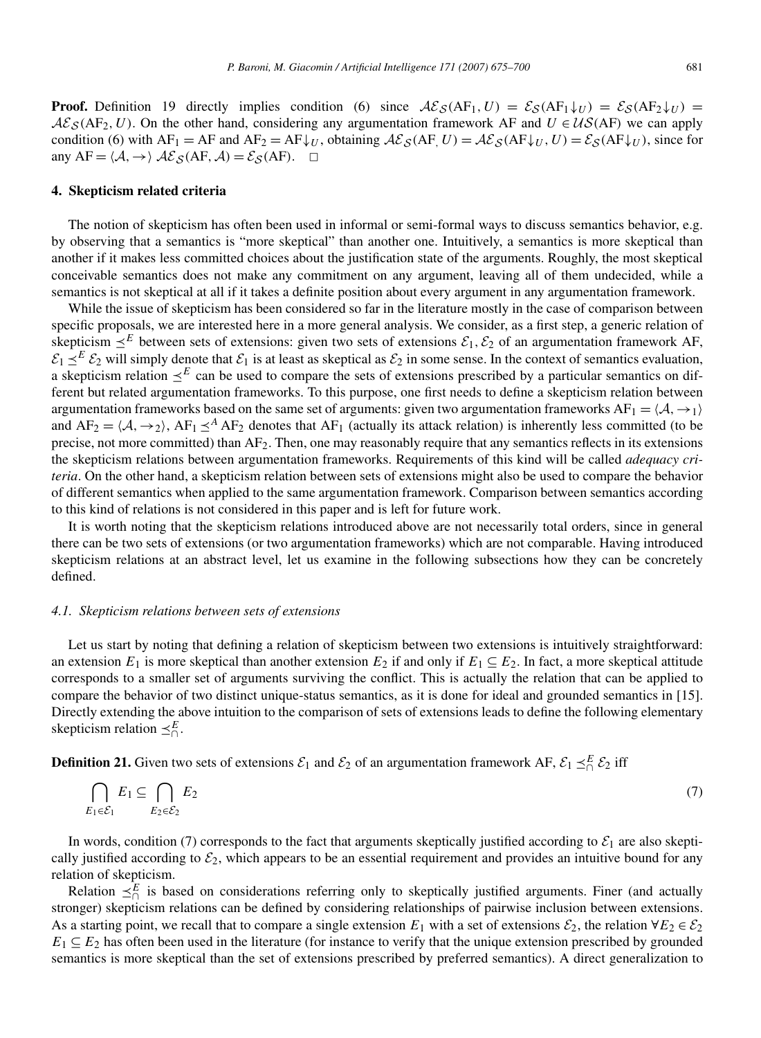**Proof.** Definition 19 directly implies condition (6) since  $\mathcal{A}\mathcal{E}_{\mathcal{S}}(AF_1, U) = \mathcal{E}_{\mathcal{S}}(AF_1\downarrow_U) = \mathcal{E}_{\mathcal{S}}(AF_2\downarrow_U) =$  $A\mathcal{E}_{\mathcal{S}}(AF_2, U)$ . On the other hand, considering any argumentation framework AF and  $U \in \mathcal{US}(AF)$  we can apply condition (6) with  $AF_1 = AF$  and  $AF_2 = AF\downarrow_U$ , obtaining  $\mathcal{AE}_{\mathcal{S}}(AF,U) = \mathcal{AE}_{\mathcal{S}}(AF\downarrow_U, U) = \mathcal{E}_{\mathcal{S}}(AF\downarrow_U)$ , since for any  $AF = \langle A, \rightarrow \rangle$   $\mathcal{A}\mathcal{E}_{\mathcal{S}}(AF, A) = \mathcal{E}_{\mathcal{S}}(AF)$ .  $\Box$ 

## **4. Skepticism related criteria**

The notion of skepticism has often been used in informal or semi-formal ways to discuss semantics behavior, e.g. by observing that a semantics is "more skeptical" than another one. Intuitively, a semantics is more skeptical than another if it makes less committed choices about the justification state of the arguments. Roughly, the most skeptical conceivable semantics does not make any commitment on any argument, leaving all of them undecided, while a semantics is not skeptical at all if it takes a definite position about every argument in any argumentation framework.

While the issue of skepticism has been considered so far in the literature mostly in the case of comparison between specific proposals, we are interested here in a more general analysis. We consider, as a first step, a generic relation of skepticism  $\leq^E$  between sets of extensions: given two sets of extensions  $\mathcal{E}_1$ ,  $\mathcal{E}_2$  of an argumentation framework AF,  $\mathcal{E}_1 \leq^E \mathcal{E}_2$  will simply denote that  $\mathcal{E}_1$  is at least as skeptical as  $\mathcal{E}_2$  in some sense. In the context of semantics evaluation, a skepticism relation  $\leq^E$  can be used to compare the sets of extensions prescribed by a particular semantics on different but related argumentation frameworks. To this purpose, one first needs to define a skepticism relation between argumentation frameworks based on the same set of arguments: given two argumentation frameworks  $AF_1 = \langle A, \rightarrow_1 \rangle$ and  $AF_2 = \langle A, \rightarrow_2 \rangle$ ,  $AF_1 \leq^A AF_2$  denotes that  $AF_1$  (actually its attack relation) is inherently less committed (to be precise, not more committed) than  $AF_2$ . Then, one may reasonably require that any semantics reflects in its extensions the skepticism relations between argumentation frameworks. Requirements of this kind will be called *adequacy criteria*. On the other hand, a skepticism relation between sets of extensions might also be used to compare the behavior of different semantics when applied to the same argumentation framework. Comparison between semantics according to this kind of relations is not considered in this paper and is left for future work.

It is worth noting that the skepticism relations introduced above are not necessarily total orders, since in general there can be two sets of extensions (or two argumentation frameworks) which are not comparable. Having introduced skepticism relations at an abstract level, let us examine in the following subsections how they can be concretely defined.

#### *4.1. Skepticism relations between sets of extensions*

Let us start by noting that defining a relation of skepticism between two extensions is intuitively straightforward: an extension  $E_1$  is more skeptical than another extension  $E_2$  if and only if  $E_1 \subseteq E_2$ . In fact, a more skeptical attitude corresponds to a smaller set of arguments surviving the conflict. This is actually the relation that can be applied to compare the behavior of two distinct unique-status semantics, as it is done for ideal and grounded semantics in [15]. Directly extending the above intuition to the comparison of sets of extensions leads to define the following elementary skepticism relation  $\preceq^E_{\cap}$ .

**Definition 21.** Given two sets of extensions  $\mathcal{E}_1$  and  $\mathcal{E}_2$  of an argumentation framework AF,  $\mathcal{E}_1 \preceq^E_{\cap} \mathcal{E}_2$  iff

$$
\bigcap_{E_1 \in \mathcal{E}_1} E_1 \subseteq \bigcap_{E_2 \in \mathcal{E}_2} E_2 \tag{7}
$$

In words, condition (7) corresponds to the fact that arguments skeptically justified according to  $\mathcal{E}_1$  are also skeptically justified according to  $\mathcal{E}_2$ , which appears to be an essential requirement and provides an intuitive bound for any relation of skepticism.

Relation  $\leq^E_{\cap}$  is based on considerations referring only to skeptically justified arguments. Finer (and actually stronger) skepticism relations can be defined by considering relationships of pairwise inclusion between extensions. As a starting point, we recall that to compare a single extension  $E_1$  with a set of extensions  $\mathcal{E}_2$ , the relation  $\forall E_2 \in \mathcal{E}_2$  $E_1 \subseteq E_2$  has often been used in the literature (for instance to verify that the unique extension prescribed by grounded semantics is more skeptical than the set of extensions prescribed by preferred semantics). A direct generalization to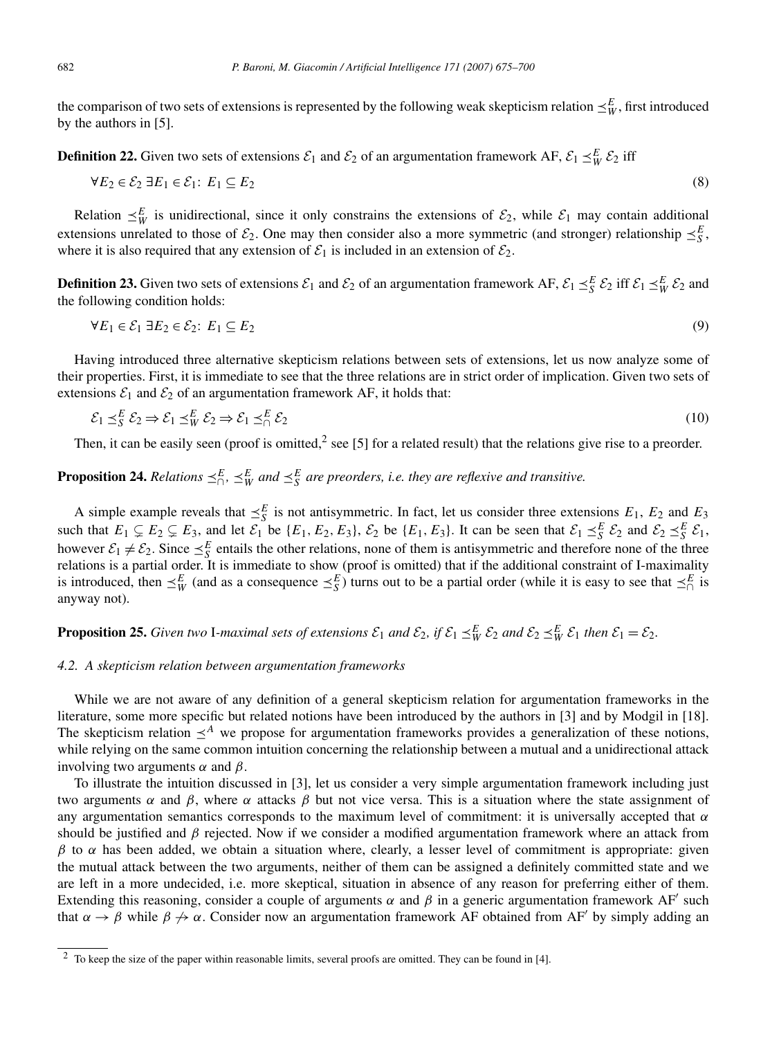the comparison of two sets of extensions is represented by the following weak skepticism relation  $\preceq_W^E$ , first introduced by the authors in [5].

**Definition 22.** Given two sets of extensions  $\mathcal{E}_1$  and  $\mathcal{E}_2$  of an argumentation framework AF,  $\mathcal{E}_1 \leq^E_W \mathcal{E}_2$  iff

$$
\forall E_2 \in \mathcal{E}_2 \exists E_1 \in \mathcal{E}_1 \colon E_1 \subseteq E_2 \tag{8}
$$

Relation  $\leq^E_W$  is unidirectional, since it only constrains the extensions of  $\mathcal{E}_2$ , while  $\mathcal{E}_1$  may contain additional extensions unrelated to those of  $\mathcal{E}_2$ . One may then consider also a more symmetric (and stronger) relationship  $\preceq_S^E$ , where it is also required that any extension of  $\mathcal{E}_1$  is included in an extension of  $\mathcal{E}_2$ .

**Definition 23.** Given two sets of extensions  $\mathcal{E}_1$  and  $\mathcal{E}_2$  of an argumentation framework AF,  $\mathcal{E}_1 \preceq_S^E \mathcal{E}_2$  iff  $\mathcal{E}_1 \preceq_W^E \mathcal{E}_2$  and the following condition holds:

$$
\forall E_1 \in \mathcal{E}_1 \exists E_2 \in \mathcal{E}_2 \colon E_1 \subseteq E_2 \tag{9}
$$

Having introduced three alternative skepticism relations between sets of extensions, let us now analyze some of their properties. First, it is immediate to see that the three relations are in strict order of implication. Given two sets of extensions  $\mathcal{E}_1$  and  $\mathcal{E}_2$  of an argumentation framework AF, it holds that:

$$
\mathcal{E}_1 \preceq_S^E \mathcal{E}_2 \Rightarrow \mathcal{E}_1 \preceq_W^E \mathcal{E}_2 \Rightarrow \mathcal{E}_1 \preceq_\cap^E \mathcal{E}_2 \tag{10}
$$

Then, it can be easily seen (proof is omitted,<sup>2</sup> see [5] for a related result) that the relations give rise to a preorder.

## **Proposition 24.** *Relations*  $\leq^E_{\cap}$ ,  $\leq^E_W$  *and*  $\leq^E_S$  *are preorders, i.e. they are reflexive and transitive.*

A simple example reveals that  $\leq_S^E$  is not antisymmetric. In fact, let us consider three extensions  $E_1$ ,  $E_2$  and  $E_3$ such that  $E_1 \subsetneq E_2 \subsetneq E_3$ , and let  $\mathcal{E}_1$  be  $\{E_1, E_2, E_3\}$ ,  $\mathcal{E}_2$  be  $\{E_1, E_3\}$ . It can be seen that  $\mathcal{E}_1 \preceq_S^E \mathcal{E}_2$  and  $\mathcal{E}_2 \preceq_S^E \mathcal{E}_1$ , however  $\mathcal{E}_1 \neq \mathcal{E}_2$ . Since  $\leq_S^E$  entails the other relations, none of them is antisymmetric and therefore none of the three relations is a partial order. It is immediate to show (proof is omitted) that if the additional constraint of I-maximality is introduced, then  $\leq^E_W$  (and as a consequence  $\leq^E_S$ ) turns out to be a partial order (while it is easy to see that  $\leq^E_{\cap}$  is anyway not).

## **Proposition 25.** Given two I-maximal sets of extensions  $\mathcal{E}_1$  and  $\mathcal{E}_2$ , if  $\mathcal{E}_1 \preceq^E_W \mathcal{E}_2$  and  $\mathcal{E}_2 \preceq^E_W \mathcal{E}_1$  then  $\mathcal{E}_1 = \mathcal{E}_2$ .

#### *4.2. A skepticism relation between argumentation frameworks*

While we are not aware of any definition of a general skepticism relation for argumentation frameworks in the literature, some more specific but related notions have been introduced by the authors in [3] and by Modgil in [18]. The skepticism relation  $\leq^A$  we propose for argumentation frameworks provides a generalization of these notions, while relying on the same common intuition concerning the relationship between a mutual and a unidirectional attack involving two arguments *α* and *β*.

To illustrate the intuition discussed in [3], let us consider a very simple argumentation framework including just two arguments  $\alpha$  and  $\beta$ , where  $\alpha$  attacks  $\beta$  but not vice versa. This is a situation where the state assignment of any argumentation semantics corresponds to the maximum level of commitment: it is universally accepted that *α* should be justified and *β* rejected. Now if we consider a modified argumentation framework where an attack from  $β$  to  $α$  has been added, we obtain a situation where, clearly, a lesser level of commitment is appropriate: given the mutual attack between the two arguments, neither of them can be assigned a definitely committed state and we are left in a more undecided, i.e. more skeptical, situation in absence of any reason for preferring either of them. Extending this reasoning, consider a couple of arguments  $\alpha$  and  $\beta$  in a generic argumentation framework AF' such that  $\alpha \to \beta$  while  $\beta \to \alpha$ . Consider now an argumentation framework AF obtained from AF' by simply adding an

<sup>&</sup>lt;sup>2</sup> To keep the size of the paper within reasonable limits, several proofs are omitted. They can be found in [4].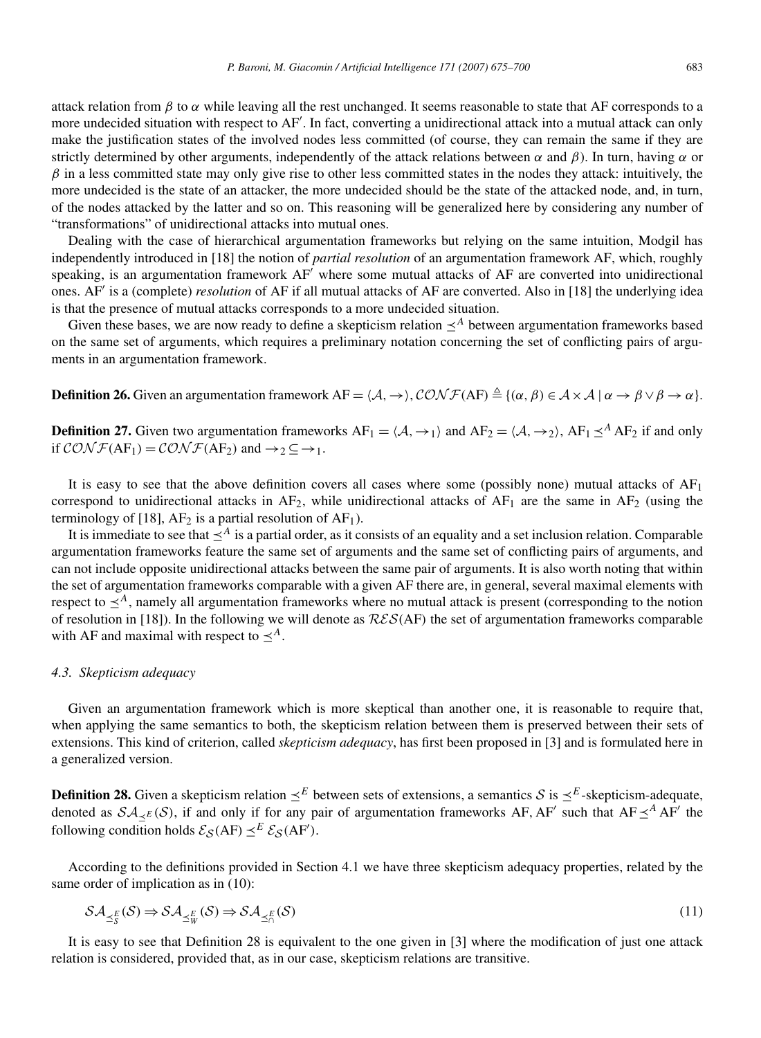attack relation from  $\beta$  to  $\alpha$  while leaving all the rest unchanged. It seems reasonable to state that AF corresponds to a more undecided situation with respect to AF'. In fact, converting a unidirectional attack into a mutual attack can only make the justification states of the involved nodes less committed (of course, they can remain the same if they are strictly determined by other arguments, independently of the attack relations between *α* and *β*). In turn, having *α* or *β* in a less committed state may only give rise to other less committed states in the nodes they attack: intuitively, the more undecided is the state of an attacker, the more undecided should be the state of the attacked node, and, in turn, of the nodes attacked by the latter and so on. This reasoning will be generalized here by considering any number of "transformations" of unidirectional attacks into mutual ones.

Dealing with the case of hierarchical argumentation frameworks but relying on the same intuition, Modgil has independently introduced in [18] the notion of *partial resolution* of an argumentation framework AF, which, roughly speaking, is an argumentation framework AF' where some mutual attacks of AF are converted into unidirectional ones. AF is a (complete) *resolution* of AF if all mutual attacks of AF are converted. Also in [18] the underlying idea is that the presence of mutual attacks corresponds to a more undecided situation.

Given these bases, we are now ready to define a skepticism relation  $\leq^A$  between argumentation frameworks based on the same set of arguments, which requires a preliminary notation concerning the set of conflicting pairs of arguments in an argumentation framework.

**Definition 26.** Given an argumentation framework  $AF = \langle A, \rightarrow \rangle$ ,  $\mathcal{CONF}(AF) \triangleq \{(\alpha, \beta) \in \mathcal{A} \times \mathcal{A} \mid \alpha \rightarrow \beta \vee \beta \rightarrow \alpha\}$ .

**Definition 27.** Given two argumentation frameworks  $AF_1 = \langle A, \rightarrow_1 \rangle$  and  $AF_2 = \langle A, \rightarrow_2 \rangle$ ,  $AF_1 \leq^A AF_2$  if and only if  $\mathcal{CONF}(AF_1) = \mathcal{CONF}(AF_2)$  and  $\rightarrow_2 \subseteq \rightarrow_1$ .

It is easy to see that the above definition covers all cases where some (possibly none) mutual attacks of  $AF<sub>1</sub>$ correspond to unidirectional attacks in  $AF_2$ , while unidirectional attacks of  $AF_1$  are the same in  $AF_2$  (using the terminology of [18],  $AF_2$  is a partial resolution of  $AF_1$ ).

It is immediate to see that  $\prec^A$  is a partial order, as it consists of an equality and a set inclusion relation. Comparable argumentation frameworks feature the same set of arguments and the same set of conflicting pairs of arguments, and can not include opposite unidirectional attacks between the same pair of arguments. It is also worth noting that within the set of argumentation frameworks comparable with a given AF there are, in general, several maximal elements with respect to  $\leq^A$ , namely all argumentation frameworks where no mutual attack is present (corresponding to the notion of resolution in [18]). In the following we will denote as RES*(*AF*)* the set of argumentation frameworks comparable with AF and maximal with respect to  $\leq^A$ .

#### *4.3. Skepticism adequacy*

Given an argumentation framework which is more skeptical than another one, it is reasonable to require that, when applying the same semantics to both, the skepticism relation between them is preserved between their sets of extensions. This kind of criterion, called *skepticism adequacy*, has first been proposed in [3] and is formulated here in a generalized version.

**Definition 28.** Given a skepticism relation  $\leq^E$  between sets of extensions, a semantics S is  $\leq^E$ -skepticism-adequate, denoted as  $\mathcal{SA}_{\leq E}(\mathcal{S})$ , if and only if for any pair of argumentation frameworks AF, AF' such that AF $\leq^A AF'$  the following condition holds  $\mathcal{E}_{\mathcal{S}}(AF) \preceq^{E} \mathcal{E}_{\mathcal{S}}(AF')$ .

According to the definitions provided in Section 4.1 we have three skepticism adequacy properties, related by the same order of implication as in (10):

$$
\mathcal{SA}_{\preceq_S^E}(\mathcal{S}) \Rightarrow \mathcal{SA}_{\preceq_W^E}(\mathcal{S}) \Rightarrow \mathcal{SA}_{\preceq_\cap^E}(\mathcal{S})
$$
\n(11)

It is easy to see that Definition 28 is equivalent to the one given in [3] where the modification of just one attack relation is considered, provided that, as in our case, skepticism relations are transitive.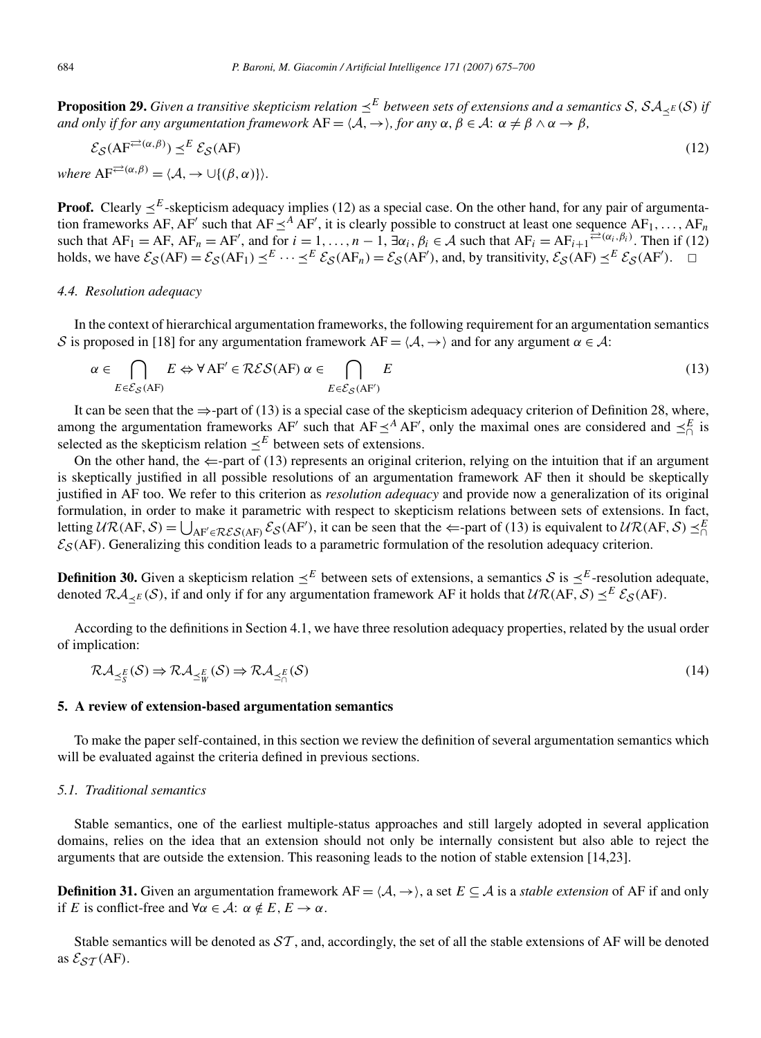**Proposition 29.** Given a transitive skepticism relation  $\leq^E$  between sets of extensions and a semantics S,  $SA_{\leq E}(S)$  if *and only if for any argumentation framework*  $AF = \langle A, \rightarrow \rangle$ *, for any*  $\alpha, \beta \in \mathcal{A}$ :  $\alpha \neq \beta \land \alpha \rightarrow \beta$ *,* 

$$
\mathcal{E}_{\mathcal{S}}(AF^{\rightleftarrows(\alpha,\beta)}) \preceq^{E} \mathcal{E}_{\mathcal{S}}(AF) \tag{12}
$$

 $where \; AF^{\rightleftarrows(\alpha,\beta)} = \langle A, \rightarrow \cup \{(\beta,\alpha)\}\rangle.$ 

**Proof.** Clearly  $\leq^E$ -skepticism adequacy implies (12) as a special case. On the other hand, for any pair of argumentation frameworks AF, AF' such that  $AF \leq^A AF'$ , it is clearly possible to construct at least one sequence  $AF_1, \ldots, AF_n$ such that  $AF_1 = AF$ ,  $AF_n = AF'$ , and for  $i = 1, ..., n - 1$ ,  $\exists \alpha_i, \beta_i \in A$  such that  $AF_i = AF_{i+1} \neq (\alpha_i, \beta_i)$ . Then if (12) holds, we have  $\mathcal{E}_{\mathcal{S}}(AF) = \mathcal{E}_{\mathcal{S}}(AF_1) \preceq^E \cdots \preceq^E \mathcal{E}_{\mathcal{S}}(AF_n) = \mathcal{E}_{\mathcal{S}}(AF')$ , and, by transitivity,  $\mathcal{E}_{\mathcal{S}}(AF) \preceq^E \mathcal{E}_{\mathcal{S}}(AF')$ .  $\Box$ 

## *4.4. Resolution adequacy*

In the context of hierarchical argumentation frameworks, the following requirement for an argumentation semantics S is proposed in [18] for any argumentation framework  $AF = \langle A, \rightarrow \rangle$  and for any argument  $\alpha \in A$ :

$$
\alpha \in \bigcap_{E \in \mathcal{E}_{\mathcal{S}}(AF)} E \Leftrightarrow \forall AF' \in \mathcal{RES}(AF) \; \alpha \in \bigcap_{E \in \mathcal{E}_{\mathcal{S}}(AF')} E
$$
(13)

It can be seen that the  $\Rightarrow$ -part of (13) is a special case of the skepticism adequacy criterion of Definition 28, where, among the argumentation frameworks AF' such that AF  $\leq^A$  AF', only the maximal ones are considered and  $\leq^E \atop 0 \leq^E \atop 0 \leq^E \atop 0 \leq^E \atop 0 \leq^E \atop 0 \leq^E \atop 0 \leq^E \atop 0 \leq^E \atop 0 \leq^E \atop 0 \leq^E \atop 0 \leq^E \atop 0 \leq^$ selected as the skepticism relation  $\leq^E$  between sets of extensions.

On the other hand, the  $\Leftarrow$ -part of (13) represents an original criterion, relying on the intuition that if an argument is skeptically justified in all possible resolutions of an argumentation framework AF then it should be skeptically justified in AF too. We refer to this criterion as *resolution adequacy* and provide now a generalization of its original formulation, in order to make it parametric with respect to skepticism relations between sets of extensions. In fact, letting  $UR(AF, S) = \bigcup_{AF' \in \mathcal{RES}(AF)} \mathcal{ES}(AF')$ , it can be seen that the  $\Leftarrow$ -part of (13) is equivalent to  $UR(AF, S) \preceq^E_{\bigcap}$  $\mathcal{E}_{\mathcal{S}}(AF)$ . Generalizing this condition leads to a parametric formulation of the resolution adequacy criterion.

**Definition 30.** Given a skepticism relation  $\leq^E$  between sets of extensions, a semantics S is  $\leq^E$ -resolution adequate, denoted  $\mathcal{RA}_{\leq E}(\mathcal{S})$ , if and only if for any argumentation framework AF it holds that  $\mathcal{UR}(AF,\mathcal{S}) \prec^{E} \mathcal{E}_{\mathcal{S}}(AF)$ .

According to the definitions in Section 4.1, we have three resolution adequacy properties, related by the usual order of implication:

$$
\mathcal{RA}_{\preceq_{S}^{E}}(\mathcal{S}) \Rightarrow \mathcal{RA}_{\preceq_{W}^{E}}(\mathcal{S}) \Rightarrow \mathcal{RA}_{\preceq_{\cap}^{E}}(\mathcal{S})
$$
\n(14)

### **5. A review of extension-based argumentation semantics**

To make the paper self-contained, in this section we review the definition of several argumentation semantics which will be evaluated against the criteria defined in previous sections.

#### *5.1. Traditional semantics*

Stable semantics, one of the earliest multiple-status approaches and still largely adopted in several application domains, relies on the idea that an extension should not only be internally consistent but also able to reject the arguments that are outside the extension. This reasoning leads to the notion of stable extension [14,23].

**Definition 31.** Given an argumentation framework  $AF = \langle A, \rightarrow \rangle$ , a set  $E \subseteq A$  is a *stable extension* of AF if and only if *E* is conflict-free and  $\forall \alpha \in A$ :  $\alpha \notin E$ ,  $E \to \alpha$ .

Stable semantics will be denoted as  $ST$ , and, accordingly, the set of all the stable extensions of AF will be denoted as  $\mathcal{E}_{ST}(AF)$ .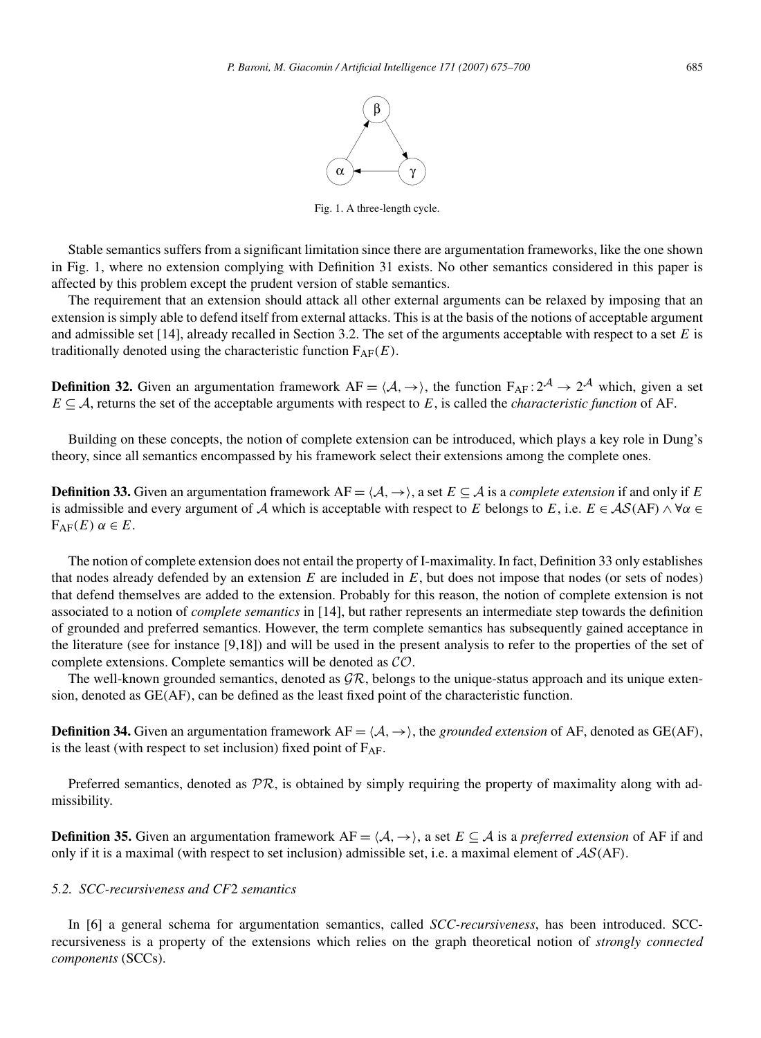

Fig. 1. A three-length cycle.

Stable semantics suffers from a significant limitation since there are argumentation frameworks, like the one shown in Fig. 1, where no extension complying with Definition 31 exists. No other semantics considered in this paper is affected by this problem except the prudent version of stable semantics.

The requirement that an extension should attack all other external arguments can be relaxed by imposing that an extension is simply able to defend itself from external attacks. This is at the basis of the notions of acceptable argument and admissible set [14], already recalled in Section 3.2. The set of the arguments acceptable with respect to a set *E* is traditionally denoted using the characteristic function  $F_{AF}(E)$ .

**Definition 32.** Given an argumentation framework  $AF = \langle A, \rightarrow \rangle$ , the function  $F_{AF} : 2^A \rightarrow 2^A$  which, given a set  $E \subseteq A$ , returns the set of the acceptable arguments with respect to  $E$ , is called the *characteristic function* of AF.

Building on these concepts, the notion of complete extension can be introduced, which plays a key role in Dung's theory, since all semantics encompassed by his framework select their extensions among the complete ones.

**Definition 33.** Given an argumentation framework  $AF = \langle A, \rightarrow \rangle$ , a set  $E \subseteq A$  is a *complete extension* if and only if *E* is admissible and every argument of A which is acceptable with respect to *E* belongs to *E*, i.e.  $E \in AS(AF) \land \forall \alpha \in$  $F_{AF}(E) \alpha \in E$ .

The notion of complete extension does not entail the property of I-maximality. In fact, Definition 33 only establishes that nodes already defended by an extension *E* are included in *E*, but does not impose that nodes (or sets of nodes) that defend themselves are added to the extension. Probably for this reason, the notion of complete extension is not associated to a notion of *complete semantics* in [14], but rather represents an intermediate step towards the definition of grounded and preferred semantics. However, the term complete semantics has subsequently gained acceptance in the literature (see for instance [9,18]) and will be used in the present analysis to refer to the properties of the set of complete extensions. Complete semantics will be denoted as CO.

The well-known grounded semantics, denoted as  $\mathcal{GR}$ , belongs to the unique-status approach and its unique extension, denoted as GE*(*AF*)*, can be defined as the least fixed point of the characteristic function.

**Definition 34.** Given an argumentation framework  $AF = \langle A, \rightarrow \rangle$ , the *grounded extension* of AF, denoted as GE(AF), is the least (with respect to set inclusion) fixed point of  $F_{AF}$ .

Preferred semantics, denoted as  $\mathcal{PR}$ , is obtained by simply requiring the property of maximality along with admissibility.

**Definition 35.** Given an argumentation framework  $AF = \langle A, \rightarrow \rangle$ , a set  $E \subseteq A$  is a *preferred extension* of AF if and only if it is a maximal (with respect to set inclusion) admissible set, i.e. a maximal element of AS*(*AF*)*.

#### *5.2. SCC-recursiveness and CF*2 *semantics*

In [6] a general schema for argumentation semantics, called *SCC-recursiveness*, has been introduced. SCCrecursiveness is a property of the extensions which relies on the graph theoretical notion of *strongly connected components* (SCCs).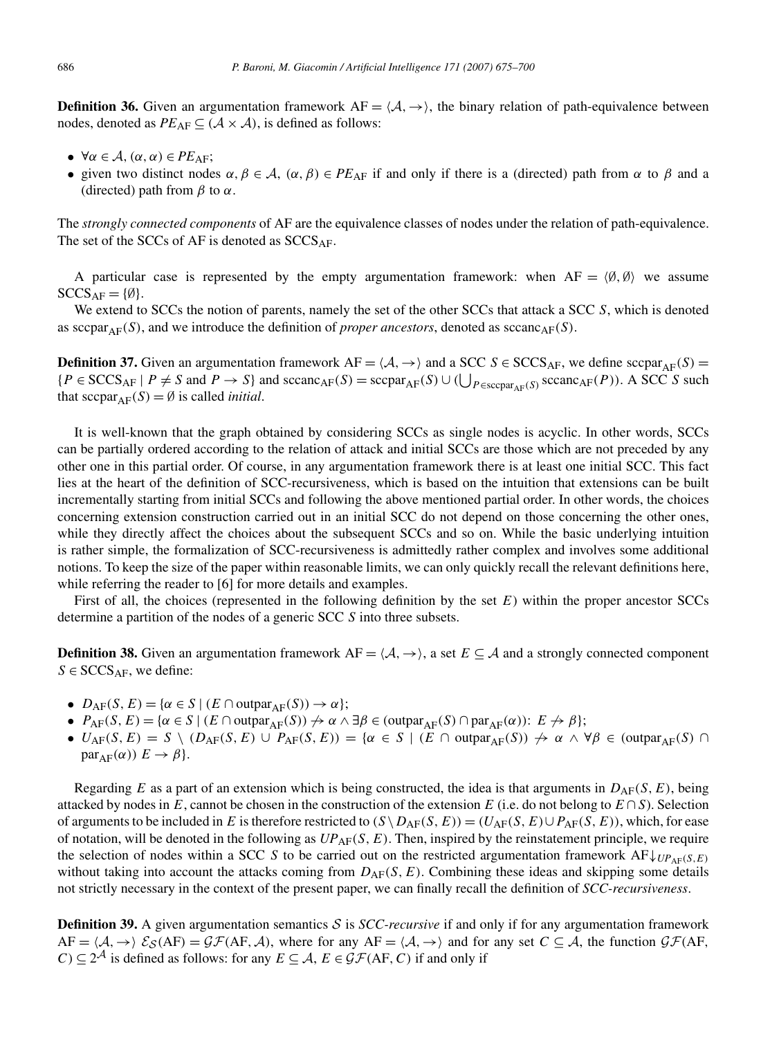**Definition 36.** Given an argumentation framework  $AF = \langle A, \rightarrow \rangle$ , the binary relation of path-equivalence between nodes, denoted as  $PE_{AF} \subseteq (A \times A)$ , is defined as follows:

- $\forall \alpha \in \mathcal{A}, (\alpha, \alpha) \in PE_{AF};$
- given two distinct nodes  $\alpha, \beta \in A$ ,  $(\alpha, \beta) \in PE_{AF}$  if and only if there is a (directed) path from  $\alpha$  to  $\beta$  and a (directed) path from  $\beta$  to  $\alpha$ .

The *strongly connected components* of AF are the equivalence classes of nodes under the relation of path-equivalence. The set of the SCCs of AF is denoted as  $SCCS<sub>AF</sub>$ .

A particular case is represented by the empty argumentation framework: when  $AF = \langle \emptyset, \emptyset \rangle$  we assume  $SCCS_{AF} = \{\emptyset\}.$ 

We extend to SCCs the notion of parents, namely the set of the other SCCs that attack a SCC *S*, which is denoted as  $\text{scap}(\mathcal{S})$ , and we introduce the definition of *proper ancestors*, denoted as  $\text{scano}_{\text{AF}}(\mathcal{S})$ .

**Definition 37.** Given an argumentation framework  $AF = \langle A, \rightarrow \rangle$  and a SCC  $S \in \text{SCCS}_{AF}$ , we define  $\text{scpar}_{AF}(S) =$  ${P \in \text{SCCS}_{\text{AF}} \mid P \neq S \text{ and } P \rightarrow S}$  and  ${\rm \text{sccanc}}_{\text{AF}}(S) = {\rm \text{sccpar}}_{\text{AF}}(S) \cup (\bigcup_{P \in \text{scapar}_{\text{AF}}(S)} {\rm \text{scanc}}_{\text{AF}}(P))$ . A SCC *S* such that  $\text{scpar}_{\text{AF}}(S) = \emptyset$  is called *initial*.

It is well-known that the graph obtained by considering SCCs as single nodes is acyclic. In other words, SCCs can be partially ordered according to the relation of attack and initial SCCs are those which are not preceded by any other one in this partial order. Of course, in any argumentation framework there is at least one initial SCC. This fact lies at the heart of the definition of SCC-recursiveness, which is based on the intuition that extensions can be built incrementally starting from initial SCCs and following the above mentioned partial order. In other words, the choices concerning extension construction carried out in an initial SCC do not depend on those concerning the other ones, while they directly affect the choices about the subsequent SCCs and so on. While the basic underlying intuition is rather simple, the formalization of SCC-recursiveness is admittedly rather complex and involves some additional notions. To keep the size of the paper within reasonable limits, we can only quickly recall the relevant definitions here, while referring the reader to [6] for more details and examples.

First of all, the choices (represented in the following definition by the set *E*) within the proper ancestor SCCs determine a partition of the nodes of a generic SCC *S* into three subsets.

**Definition 38.** Given an argumentation framework  $AF = \langle A, \rightarrow \rangle$ , a set  $E \subseteq A$  and a strongly connected component  $S \in$  SCCS<sub>AF</sub>, we define:

- $D_{\text{AF}}(S, E) = \{ \alpha \in S \mid (E \cap \text{output}_{\text{AF}}(S)) \rightarrow \alpha \};$
- $P_{AF}(S, E) = \{ \alpha \in S \mid (E \cap \text{outpar}_{AF}(S)) \nrightarrow \alpha \wedge \exists \beta \in (\text{outpar}_{AF}(S) \cap \text{par}_{AF}(\alpha)) : E \nrightarrow \beta \};$
- $\bullet$  *U*<sub>AF</sub>(*S*, *E*) = *S* \ (*D*<sub>AF</sub>(*S*, *E*) ∪ *P*<sub>AF</sub>(*S*, *E*)) = {*α* ∈ *S* | (*E* ∩ outpar<sub>AF</sub>(*S*))  $\to$  *α* ∧ ∀*β* ∈ (outpar<sub>AF</sub>(*S*) ∩  $par_{AF}(\alpha)$ )  $E \rightarrow \beta$ .

Regarding *E* as a part of an extension which is being constructed, the idea is that arguments in  $D_{AF}(S, E)$ , being attacked by nodes in  $E$ , cannot be chosen in the construction of the extension  $E$  (i.e. do not belong to  $E \cap S$ ). Selection of arguments to be included in *E* is therefore restricted to  $(S \setminus D_{AF}(S, E)) = (U_{AF}(S, E) \cup P_{AF}(S, E))$ , which, for ease of notation, will be denoted in the following as  $UP_{\text{AF}}(S, E)$ . Then, inspired by the reinstatement principle, we require the selection of nodes within a SCC *S* to be carried out on the restricted argumentation framework  $AF\downarrow_{UP_{\text{AF}}(S,E)}$ without taking into account the attacks coming from  $D_{AF}(S, E)$ . Combining these ideas and skipping some details not strictly necessary in the context of the present paper, we can finally recall the definition of *SCC-recursiveness*.

**Definition 39.** A given argumentation semantics  $S$  is *SCC-recursive* if and only if for any argumentation framework  $AF = \langle A, \rightarrow \rangle$   $\mathcal{E}_{S}(AF) = \mathcal{GF}(AF, \mathcal{A})$ , where for any  $AF = \langle \mathcal{A}, \rightarrow \rangle$  and for any set  $C \subseteq \mathcal{A}$ , the function  $\mathcal{GF}(AF, \mathcal{A})$ *C*) ⊆  $2^{\mathcal{A}}$  is defined as follows: for any *E* ⊆ *A*, *E* ∈  $\mathcal{GF}(AF, C)$  if and only if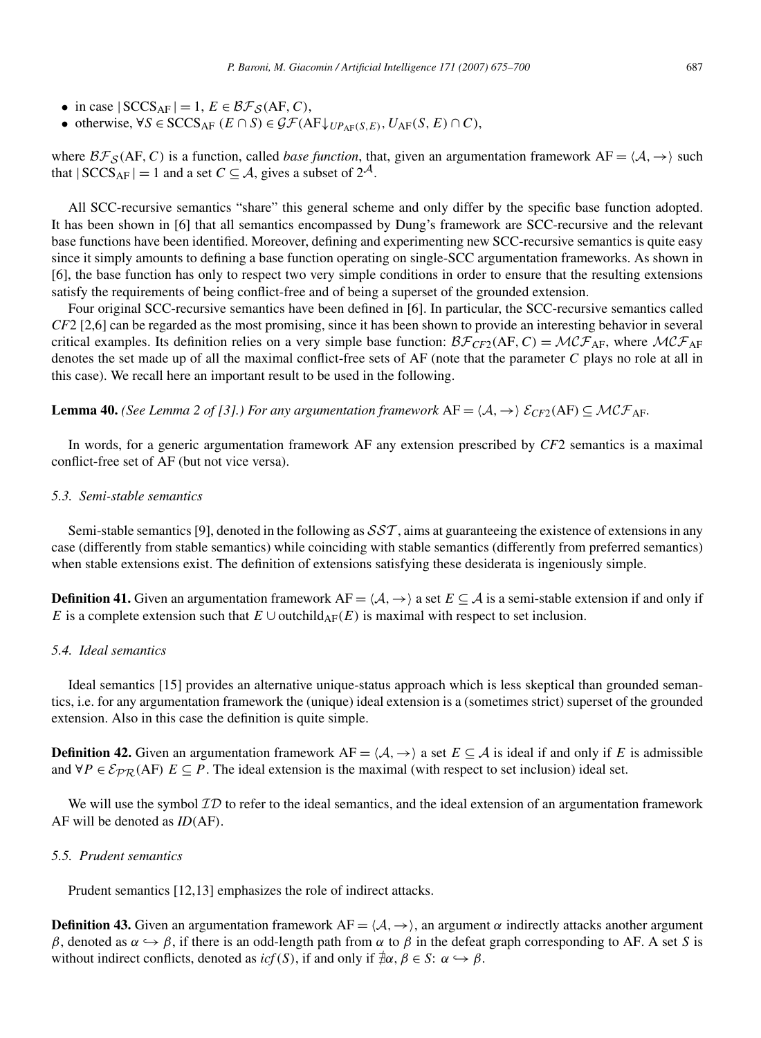- in case  $|SCCS_{AF}| = 1, E \in \mathcal{BF}_{\mathcal{S}}(AF, C),$
- otherwise,  $\forall S \in \text{SCCS}_{\text{AF}} (E \cap S) \in \mathcal{GF}(\text{AF}\downarrow_{UP_{\text{AF}}(S,E)}, U_{\text{AF}}(S,E) \cap C)$ ,

where  $B\mathcal{F}_{\mathcal{S}}(AF, C)$  is a function, called *base function*, that, given an argumentation framework AF =  $\langle A, \rightarrow \rangle$  such that  $|SCCS_{AF}| = 1$  and a set  $C \subseteq A$ , gives a subset of  $2^A$ .

All SCC-recursive semantics "share" this general scheme and only differ by the specific base function adopted. It has been shown in [6] that all semantics encompassed by Dung's framework are SCC-recursive and the relevant base functions have been identified. Moreover, defining and experimenting new SCC-recursive semantics is quite easy since it simply amounts to defining a base function operating on single-SCC argumentation frameworks. As shown in [6], the base function has only to respect two very simple conditions in order to ensure that the resulting extensions satisfy the requirements of being conflict-free and of being a superset of the grounded extension.

Four original SCC-recursive semantics have been defined in [6]. In particular, the SCC-recursive semantics called *CF*2 [2,6] can be regarded as the most promising, since it has been shown to provide an interesting behavior in several critical examples. Its definition relies on a very simple base function:  $\mathcal{BF}_{CF2}(AF, C) = \mathcal{MCF}_{AF}$ , where  $\mathcal{MCF}_{AF}$ denotes the set made up of all the maximal conflict-free sets of AF (note that the parameter *C* plays no role at all in this case). We recall here an important result to be used in the following.

**Lemma 40.** *(See Lemma 2 of [3].) For any argumentation framework*  $AF = \langle A, \rightarrow \rangle$   $\mathcal{E}_{CF2}(AF) \subseteq \mathcal{MCF}_{AF}$ *.* 

In words, for a generic argumentation framework AF any extension prescribed by *CF*2 semantics is a maximal conflict-free set of AF (but not vice versa).

### *5.3. Semi-stable semantics*

Semi-stable semantics [9], denoted in the following as  $SST$ , aims at guaranteeing the existence of extensions in any case (differently from stable semantics) while coinciding with stable semantics (differently from preferred semantics) when stable extensions exist. The definition of extensions satisfying these desiderata is ingeniously simple.

**Definition 41.** Given an argumentation framework  $AF = \langle A, \rightarrow \rangle$  a set  $E \subseteq A$  is a semi-stable extension if and only if *E* is a complete extension such that  $E \cup$  outchild<sub>AF</sub>(*E*) is maximal with respect to set inclusion.

#### *5.4. Ideal semantics*

Ideal semantics [15] provides an alternative unique-status approach which is less skeptical than grounded semantics, i.e. for any argumentation framework the (unique) ideal extension is a (sometimes strict) superset of the grounded extension. Also in this case the definition is quite simple.

**Definition 42.** Given an argumentation framework  $AF = \langle A, \rightarrow \rangle$  a set  $E \subseteq A$  is ideal if and only if *E* is admissible and  $\forall P \in \mathcal{E}_{PR}(AF) \ E \subseteq P$ . The ideal extension is the maximal (with respect to set inclusion) ideal set.

We will use the symbol  $\mathcal{ID}$  to refer to the ideal semantics, and the ideal extension of an argumentation framework AF will be denoted as *ID(*AF*)*.

## *5.5. Prudent semantics*

Prudent semantics [12,13] emphasizes the role of indirect attacks.

**Definition 43.** Given an argumentation framework  $AF = \langle A, \rightarrow \rangle$ , an argument  $\alpha$  indirectly attacks another argument *β*, denoted as  $\alpha \rightarrow \beta$ , if there is an odd-length path from  $\alpha$  to *β* in the defeat graph corresponding to AF. A set *S* is without indirect conflicts, denoted as *icf*(*S*), if and only if  $\neq \alpha$ ,  $\beta \in S$ :  $\alpha \hookrightarrow \beta$ .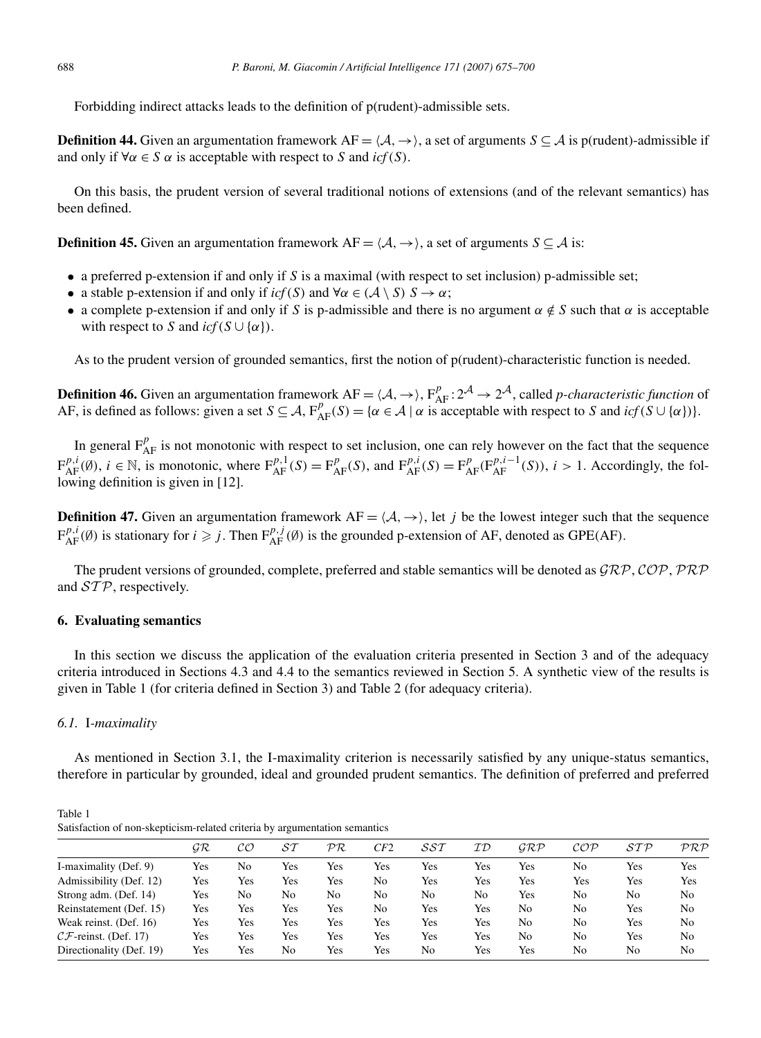Forbidding indirect attacks leads to the definition of p(rudent)-admissible sets.

**Definition 44.** Given an argumentation framework  $AF = \langle A, \rightarrow \rangle$ , a set of arguments  $S \subseteq A$  is p(rudent)-admissible if and only if  $\forall \alpha \in S \alpha$  is acceptable with respect to *S* and *icf*(*S*).

On this basis, the prudent version of several traditional notions of extensions (and of the relevant semantics) has been defined.

**Definition 45.** Given an argumentation framework  $AF = \langle A, \rightarrow \rangle$ , a set of arguments  $S \subseteq A$  is:

- a preferred p-extension if and only if *S* is a maximal (with respect to set inclusion) p-admissible set;
- a stable p-extension if and only if  $icf(S)$  and  $\forall \alpha \in (\mathcal{A} \setminus S)$   $S \to \alpha$ ;
- a complete p-extension if and only if *S* is p-admissible and there is no argument  $\alpha \notin S$  such that  $\alpha$  is acceptable with respect to *S* and  $icf(S \cup \{\alpha\})$ .

As to the prudent version of grounded semantics, first the notion of p(rudent)-characteristic function is needed.

**Definition 46.** Given an argumentation framework  $AF = \langle A, \rightarrow \rangle$ ,  $F_{AF}^p : 2^A \rightarrow 2^A$ , called *p-characteristic function* of AF, is defined as follows: given a set  $S \subseteq A$ ,  $F_{AF}^p(S) = \{ \alpha \in A \mid \alpha \text{ is acceptable with respect to } S \text{ and } icf(S \cup \{ \alpha \}) \}.$ 

In general  $F_{AF}^p$  is not monotonic with respect to set inclusion, one can rely however on the fact that the sequence  $F_{AF}^{p,i}(\emptyset)$ ,  $i \in \mathbb{N}$ , is monotonic, where  $F_{AF}^{p,1}(S) = F_{AF}^p(S)$ , and  $F_{AF}^{p,i}(S) = F_{AF}^p(F_{AF}^{p,i-1}(S))$ ,  $i > 1$ . Accordingly, the following definition is given in [12].

**Definition 47.** Given an argumentation framework  $AF = \langle A, \rightarrow \rangle$ , let *j* be the lowest integer such that the sequence  $F_{AF}^{p,i}(\emptyset)$  is stationary for  $i \geq j$ . Then  $F_{AF}^{p,j}(\emptyset)$  is the grounded p-extension of AF, denoted as GPE(AF).

The prudent versions of grounded, complete, preferred and stable semantics will be denoted as  $\mathcal{GRP}, \mathcal{COP}, \mathcal{PRP}$ and  $STP$ , respectively.

## **6. Evaluating semantics**

In this section we discuss the application of the evaluation criteria presented in Section 3 and of the adequacy criteria introduced in Sections 4.3 and 4.4 to the semantics reviewed in Section 5. A synthetic view of the results is given in Table 1 (for criteria defined in Section 3) and Table 2 (for adequacy criteria).

## *6.1.* I*-maximality*

As mentioned in Section 3.1, the I-maximality criterion is necessarily satisfied by any unique-status semantics, therefore in particular by grounded, ideal and grounded prudent semantics. The definition of preferred and preferred

Table 1 Satisfaction of non-skepticism-related criteria by argumentation semantics

|                                   | GR  | CО  | ST  | $\mathcal{PR}$ | CF2 | <i>SST</i> | ID  | GRP | COP | STP | PRF |
|-----------------------------------|-----|-----|-----|----------------|-----|------------|-----|-----|-----|-----|-----|
| I-maximality (Def. 9)             | Yes | No  | Yes | Yes            | Yes | Yes        | Yes | Yes | No  | Yes | Yes |
| Admissibility (Def. 12)           | Yes | Yes | Yes | Yes            | No  | Yes        | Yes | Yes | Yes | Yes | Yes |
| Strong adm. (Def. 14)             | Yes | No  | No  | No             | No  | No         | No  | Yes | No  | No  | No  |
| Reinstatement (Def. 15)           | Yes | Yes | Yes | Yes            | No  | Yes        | Yes | No  | No  | Yes | No  |
| Weak reinst. (Def. 16)            | Yes | Yes | Yes | Yes            | Yes | Yes        | Yes | No  | No  | Yes | No  |
| $\mathcal{CF}$ -reinst. (Def. 17) | Yes | Yes | Yes | Yes            | Yes | Yes        | Yes | No  | No  | Yes | No  |
| Directionality (Def. 19)          | Yes | Yes | No  | Yes            | Yes | No         | Yes | Yes | No  | No  | No  |
|                                   |     |     |     |                |     |            |     |     |     |     |     |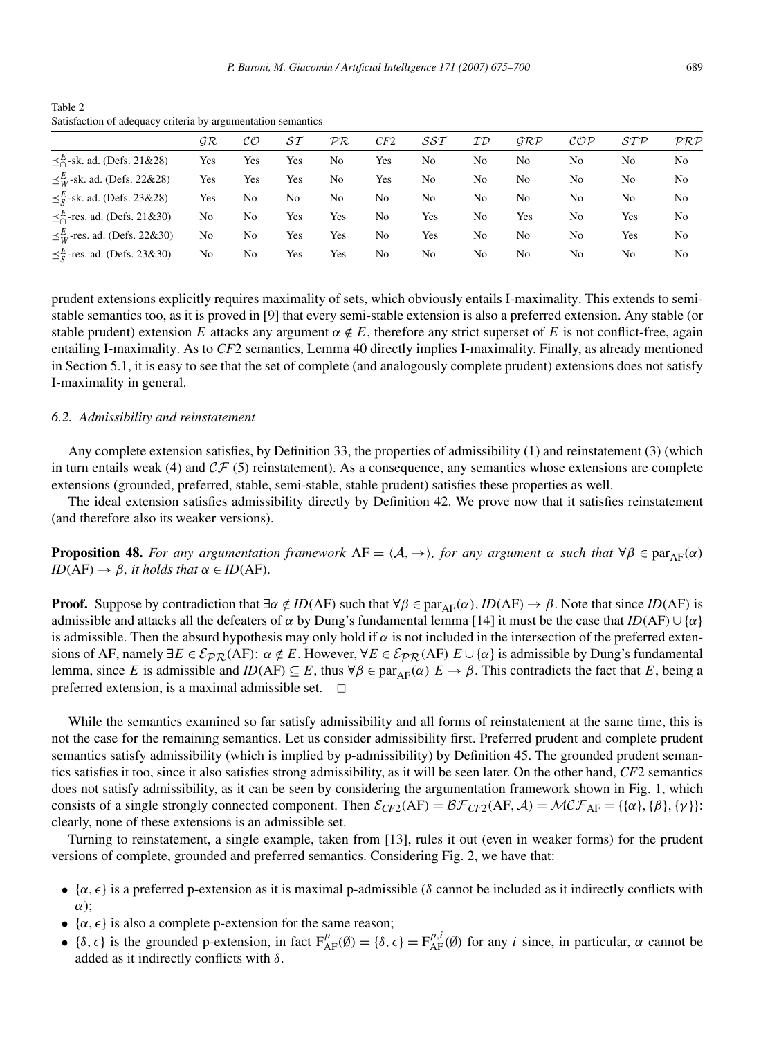Table 2 Satisfaction of adequacy criteria by argumentation semantics

|                                             | GR  | CО             | ST  | PR  | CF2 | $\mathcal{S}\mathcal{S}\mathcal{T}$ | ID  | GRP | $\mathcal{COP}$ | STP | PRP |
|---------------------------------------------|-----|----------------|-----|-----|-----|-------------------------------------|-----|-----|-----------------|-----|-----|
| $\leq$ <sup>E</sup> -sk. ad. (Defs. 21&28)  | Yes | Yes            | Yes | No  | Yes | No                                  | No  | No  | No              | No  | No  |
| $\leq^E_W$ -sk. ad. (Defs. 22&28)           | Yes | Yes            | Yes | No  | Yes | No                                  | No  | No  | No              | No  | No  |
| $\leq$ sk. ad. (Defs. 23&28)                | Yes | No             | No  | No  | No  | No                                  | No  | No  | No              | No  | No  |
| $\leq$ <sup>E</sup> -res. ad. (Defs. 21&30) | No  | N <sub>0</sub> | Yes | Yes | No  | Yes                                 | No  | Yes | No              | Yes | No  |
| $\leq^E_W$ -res. ad. (Defs. 22&30)          | No  | No             | Yes | Yes | No  | Yes                                 | No  | No  | No              | Yes | No  |
| $\leq_S^E$ -res. ad. (Defs. 23&30)          | No  | N <sub>0</sub> | Yes | Yes | No  | No                                  | No. | No  | No              | No  | No  |

prudent extensions explicitly requires maximality of sets, which obviously entails I-maximality. This extends to semistable semantics too, as it is proved in [9] that every semi-stable extension is also a preferred extension. Any stable (or stable prudent) extension *E* attacks any argument  $\alpha \notin E$ , therefore any strict superset of *E* is not conflict-free, again entailing I-maximality. As to *CF*2 semantics, Lemma 40 directly implies I-maximality. Finally, as already mentioned in Section 5.1, it is easy to see that the set of complete (and analogously complete prudent) extensions does not satisfy I-maximality in general.

#### *6.2. Admissibility and reinstatement*

Any complete extension satisfies, by Definition 33, the properties of admissibility (1) and reinstatement (3) (which in turn entails weak (4) and  $CF$  (5) reinstatement). As a consequence, any semantics whose extensions are complete extensions (grounded, preferred, stable, semi-stable, stable prudent) satisfies these properties as well.

The ideal extension satisfies admissibility directly by Definition 42. We prove now that it satisfies reinstatement (and therefore also its weaker versions).

**Proposition 48.** *For any argumentation framework*  $AF = \langle A, \rightarrow \rangle$ *, for any argument*  $\alpha$  *such that*  $\forall \beta \in \text{par}_{AF}(\alpha)$  $ID(AF) \rightarrow \beta$ *, it holds that*  $\alpha \in ID(AF)$ *.* 

**Proof.** Suppose by contradiction that  $\exists \alpha \notin ID(AF)$  such that  $\forall \beta \in par_{AF}(\alpha), ID(AF) \rightarrow \beta$ . Note that since *ID(AF)* is admissible and attacks all the defeaters of  $\alpha$  by Dung's fundamental lemma [14] it must be the case that *ID*(AF)  $\cup$  { $\alpha$ } is admissible. Then the absurd hypothesis may only hold if  $\alpha$  is not included in the intersection of the preferred extensions of AF, namely  $\exists E \in \mathcal{E}_{PR}(AF)$ :  $\alpha \notin E$ . However,  $\forall E \in \mathcal{E}_{PR}(AF)$   $E \cup {\alpha}$  is admissible by Dung's fundamental lemma, since *E* is admissible and *ID*(AF)  $\subseteq$  *E*, thus  $\forall \beta \in \text{par}_{AF}(\alpha)$   $E \rightarrow \beta$ . This contradicts the fact that *E*, being a preferred extension, is a maximal admissible set.  $\Box$ 

While the semantics examined so far satisfy admissibility and all forms of reinstatement at the same time, this is not the case for the remaining semantics. Let us consider admissibility first. Preferred prudent and complete prudent semantics satisfy admissibility (which is implied by p-admissibility) by Definition 45. The grounded prudent semantics satisfies it too, since it also satisfies strong admissibility, as it will be seen later. On the other hand, *CF*2 semantics does not satisfy admissibility, as it can be seen by considering the argumentation framework shown in Fig. 1, which consists of a single strongly connected component. Then  $\mathcal{E}_{CF2}(AF) = \mathcal{BF}_{CF2}(AF, \mathcal{A}) = \mathcal{MCF}_{AF} = \{\{\alpha\}, \{\beta\}, \{\gamma\}\}\$ : clearly, none of these extensions is an admissible set.

Turning to reinstatement, a single example, taken from [13], rules it out (even in weaker forms) for the prudent versions of complete, grounded and preferred semantics. Considering Fig. 2, we have that:

- { $\alpha, \epsilon$ } is a preferred p-extension as it is maximal p-admissible ( $\delta$  cannot be included as it indirectly conflicts with *α*);
- $\{\alpha, \epsilon\}$  is also a complete p-extension for the same reason;
- { $\delta$ ,  $\epsilon$ } is the grounded p-extension, in fact  $F_{AF}^p(\emptyset) = {\delta, \epsilon} = F_{AF}^{p,i}(\emptyset)$  for any *i* since, in particular,  $\alpha$  cannot be added as it indirectly conflicts with *δ*.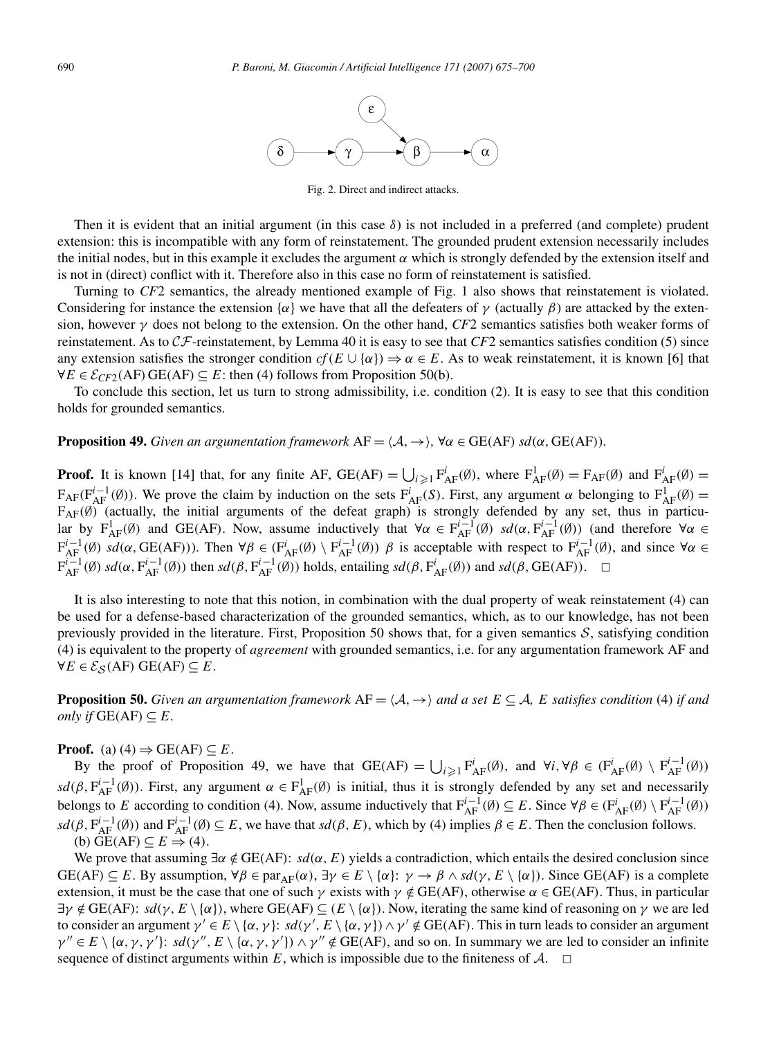

Fig. 2. Direct and indirect attacks.

Then it is evident that an initial argument (in this case *δ*) is not included in a preferred (and complete) prudent extension: this is incompatible with any form of reinstatement. The grounded prudent extension necessarily includes the initial nodes, but in this example it excludes the argument *α* which is strongly defended by the extension itself and is not in (direct) conflict with it. Therefore also in this case no form of reinstatement is satisfied.

Turning to *CF*2 semantics, the already mentioned example of Fig. 1 also shows that reinstatement is violated. Considering for instance the extension  $\{\alpha\}$  we have that all the defeaters of  $\gamma$  (actually  $\beta$ ) are attacked by the extension, however *γ* does not belong to the extension. On the other hand, *CF*2 semantics satisfies both weaker forms of reinstatement. As to CF-reinstatement, by Lemma 40 it is easy to see that *CF*2 semantics satisfies condition (5) since any extension satisfies the stronger condition  $cf(E \cup \{\alpha\}) \Rightarrow \alpha \in E$ . As to weak reinstatement, it is known [6] that  $∀E ∈ E<sub>CF2</sub>(AF) GE(AF) ⊆ E$ : then (4) follows from Proposition 50(b).

To conclude this section, let us turn to strong admissibility, i.e. condition (2). It is easy to see that this condition holds for grounded semantics.

**Proposition 49.** *Given an argumentation framework*  $AF = \langle A, \rightarrow \rangle$ ,  $\forall \alpha \in \text{GE}(AF)$  *sd*( $\alpha$ , GE(AF))*.* 

**Proof.** It is known [14] that, for any finite AF,  $GE(AF) = \bigcup_{i \geq 1} F_{AF}^i(\emptyset)$ , where  $F_{AF}^1(\emptyset) = F_{AF}(\emptyset)$  and  $F_{AF}^i(\emptyset) =$  $F_{AF}(F_{AF}^{i-1}(\emptyset))$ . We prove the claim by induction on the sets  $F_{AF}^{i}(S)$ . First, any argument  $\alpha$  belonging to  $F_{AF}^{1}(\emptyset)$  = FAF*(*∅*)* (actually, the initial arguments of the defeat graph) is strongly defended by any set, thus in particular by  $F_{AF}^1(\emptyset)$  and GE(AF). Now, assume inductively that  $\forall \alpha \in F_{AF}^{i-1}(\emptyset)$  *sd*( $\alpha, F_{AF}^{i-1}(\emptyset)$ ) (and therefore  $\forall \alpha \in$  $F_{AF}^{i-1}(\emptyset)$   $sd(\alpha, GE(AF))$ ). Then  $\forall \beta \in (F_{AF}^i(\emptyset) \setminus F_{AF}^{i-1}(\emptyset))$   $\beta$  is acceptable with respect to  $F_{AF}^{i-1}(\emptyset)$ , and since  $\forall \alpha \in$  $F_{AF}^{i-1}(\emptyset)$   $sd(\alpha, F_{AF}^{i-1}(\emptyset))$  then  $sd(\beta, F_{AF}^{i-1}(\emptyset))$  holds, entailing  $sd(\beta, F_{AF}^{i}(\emptyset))$  and  $sd(\beta, GE(AF))$ .  $\Box$ 

It is also interesting to note that this notion, in combination with the dual property of weak reinstatement (4) can be used for a defense-based characterization of the grounded semantics, which, as to our knowledge, has not been previously provided in the literature. First, Proposition 50 shows that, for a given semantics  $S$ , satisfying condition (4) is equivalent to the property of *agreement* with grounded semantics, i.e. for any argumentation framework AF and  $∀E ∈ E<sub>S</sub>(AF) GE(AF) ⊆ E.$ 

**Proposition 50.** *Given an argumentation framework*  $AF = \langle A, \rightarrow \rangle$  *and a set*  $E \subseteq A$ *, E satisfies condition* (4) *if and only if*  $GE(AF) ⊆ E$ *.* 

#### **Proof.** (a)  $(4) \Rightarrow$  GE(AF)  $\subseteq$  *E*.

By the proof of Proposition 49, we have that  $GE(AF) = \bigcup_{i \geq 1} F_{AF}^i(\emptyset)$ , and  $\forall i, \forall \beta \in (F_{AF}^i(\emptyset) \setminus F_{AF}^{i-1}(\emptyset))$  $sd(\beta, F_{AF}^{i-1}(\emptyset))$ . First, any argument  $\alpha \in F_{AF}^1(\emptyset)$  is initial, thus it is strongly defended by any set and necessarily belongs to *E* according to condition (4). Now, assume inductively that  $F_{AF}^{i-1}(\emptyset) \subseteq E$ . Since  $\forall \beta \in (F_{AF}^{i}(\emptyset) \setminus F_{AF}^{i-1}(\emptyset))$  $sd(\beta, F_{AF}^{i-1}(\emptyset))$  and  $F_{AF}^{i-1}(\emptyset) \subseteq E$ , we have that  $sd(\beta, E)$ , which by (4) implies  $\beta \in E$ . Then the conclusion follows.  $(E)$   $\overline{GE}(AF) \subseteq E \implies (4)$ .

We prove that assuming  $\exists \alpha \notin \text{GE}(AF)$ :  $sd(\alpha, E)$  yields a contradiction, which entails the desired conclusion since  $GE(AF) \subseteq E$ . By assumption,  $\forall \beta \in \text{par}_{AF}(\alpha)$ ,  $\exists \gamma \in E \setminus \{\alpha\}: \gamma \to \beta \land sd(\gamma, E \setminus \{\alpha\})$ . Since  $GE(AF)$  is a complete extension, it must be the case that one of such  $\gamma$  exists with  $\gamma \notin \text{GE}(AF)$ , otherwise  $\alpha \in \text{GE}(AF)$ . Thus, in particular  $\exists \gamma \notin \text{GE}(AF): sd(\gamma, E \setminus \{\alpha\})$ , where  $\text{GE}(AF) \subseteq (E \setminus \{\alpha\})$ . Now, iterating the same kind of reasoning on  $\gamma$  we are led to consider an argument  $\gamma' \in E \setminus \{\alpha, \gamma\}$ :  $sd(\gamma', E \setminus \{\alpha, \gamma\}) \wedge \gamma' \notin \text{GE(AF)}$ . This in turn leads to consider an argument  $\gamma'' \in E \setminus {\alpha, \gamma, \gamma'}$ :  $sd(\gamma'', E \setminus {\alpha, \gamma, \gamma'}) \wedge \gamma'' \notin GE(AF)$ , and so on. In summary we are led to consider an infinite sequence of distinct arguments within  $E$ , which is impossible due to the finiteness of  $\mathcal{A}$ .  $\Box$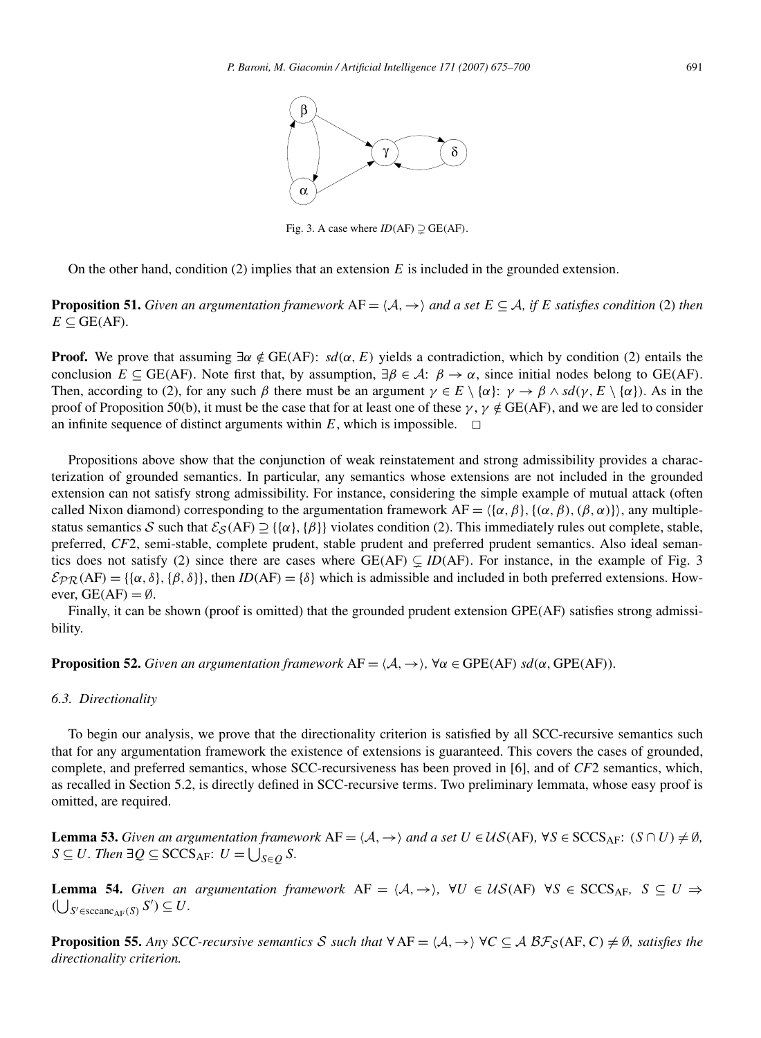

Fig. 3. A case where  $ID(AF) \supsetneq$  GE(AF).

On the other hand, condition (2) implies that an extension *E* is included in the grounded extension.

**Proposition 51.** *Given an argumentation framework*  $AF = \langle A, \rightarrow \rangle$  *and a set*  $E \subseteq A$ *, if*  $E$  *satisfies condition* (2) *then*  $E \subseteq$  GE(AF).

**Proof.** We prove that assuming  $\exists \alpha \notin \text{GE}(AF)$ :  $sd(\alpha, E)$  yields a contradiction, which by condition (2) entails the conclusion  $E \subseteq \text{GE}(AF)$ . Note first that, by assumption,  $\exists \beta \in \mathcal{A}: \beta \to \alpha$ , since initial nodes belong to GE(AF). Then, according to (2), for any such  $\beta$  there must be an argument  $\gamma \in E \setminus {\alpha}$ :  $\gamma \to \beta \land sd(\gamma, E \setminus {\alpha})$ . As in the proof of Proposition 50(b), it must be the case that for at least one of these *γ* , *γ /*∈ GE*(*AF*)*, and we are led to consider an infinite sequence of distinct arguments within  $E$ , which is impossible.  $\Box$ 

Propositions above show that the conjunction of weak reinstatement and strong admissibility provides a characterization of grounded semantics. In particular, any semantics whose extensions are not included in the grounded extension can not satisfy strong admissibility. For instance, considering the simple example of mutual attack (often called Nixon diamond) corresponding to the argumentation framework  $AF = \langle \{\alpha, \beta\}, \{\alpha, \beta\}, (\beta, \alpha)\}\rangle$ , any multiplestatus semantics S such that  $\mathcal{E}_{\mathcal{S}}(AF) \supseteq {\alpha}$ ,  ${\beta}$  violates condition (2). This immediately rules out complete, stable, preferred, *CF*2, semi-stable, complete prudent, stable prudent and preferred prudent semantics. Also ideal semantics does not satisfy (2) since there are cases where  $GE(AF) \subseteq ID(AF)$ . For instance, in the example of Fig. 3  $\mathcal{E}_{PR}(AF) = \{\{\alpha, \delta\}, \{\beta, \delta\}\}\$ , then  $ID(AF) = \{\delta\}$  which is admissible and included in both preferred extensions. However,  $GE(AF) = \emptyset$ .

Finally, it can be shown (proof is omitted) that the grounded prudent extension GPE*(*AF*)* satisfies strong admissibility.

**Proposition 52.** *Given an argumentation framework*  $AF = \langle A, \rightarrow \rangle$ ,  $\forall \alpha \in GPE(AF)$  *sd*( $\alpha$ ,  $GPE(AF)$ *).* 

#### *6.3. Directionality*

To begin our analysis, we prove that the directionality criterion is satisfied by all SCC-recursive semantics such that for any argumentation framework the existence of extensions is guaranteed. This covers the cases of grounded, complete, and preferred semantics, whose SCC-recursiveness has been proved in [6], and of *CF*2 semantics, which, as recalled in Section 5.2, is directly defined in SCC-recursive terms. Two preliminary lemmata, whose easy proof is omitted, are required.

**Lemma 53.** *Given an argumentation framework*  $AF = \langle A, \rightarrow \rangle$  *and a set*  $U \in \mathcal{US}(AF)$ *,*  $\forall S \in \text{SCCS}_{AF}$ *:*  $(S \cap U) \neq \emptyset$ *,*  $S \subseteq U$ *. Then* ∃ $Q \subseteq \text{SCCS}_{\text{AF}}$ :  $U = \bigcup_{S \in Q} S$ *.* 

**Lemma 54.** *Given an argumentation framework*  $AF = \langle A, \rightarrow \rangle$ ,  $\forall U \in \mathcal{US}(AF)$   $\forall S \in SCCS_{AF}$ ,  $S \subseteq U \Rightarrow$  $(\bigcup_{S' \in \text{sccanc}_{\text{AF}}(S)} S') \subseteq U$ .

**Proposition 55.** Any SCC-recursive semantics S such that  $\forall AF = \langle A, \rightarrow \rangle \forall C \subseteq AB\mathcal{F}_S(AF, C) \neq \emptyset$ , satisfies the *directionality criterion.*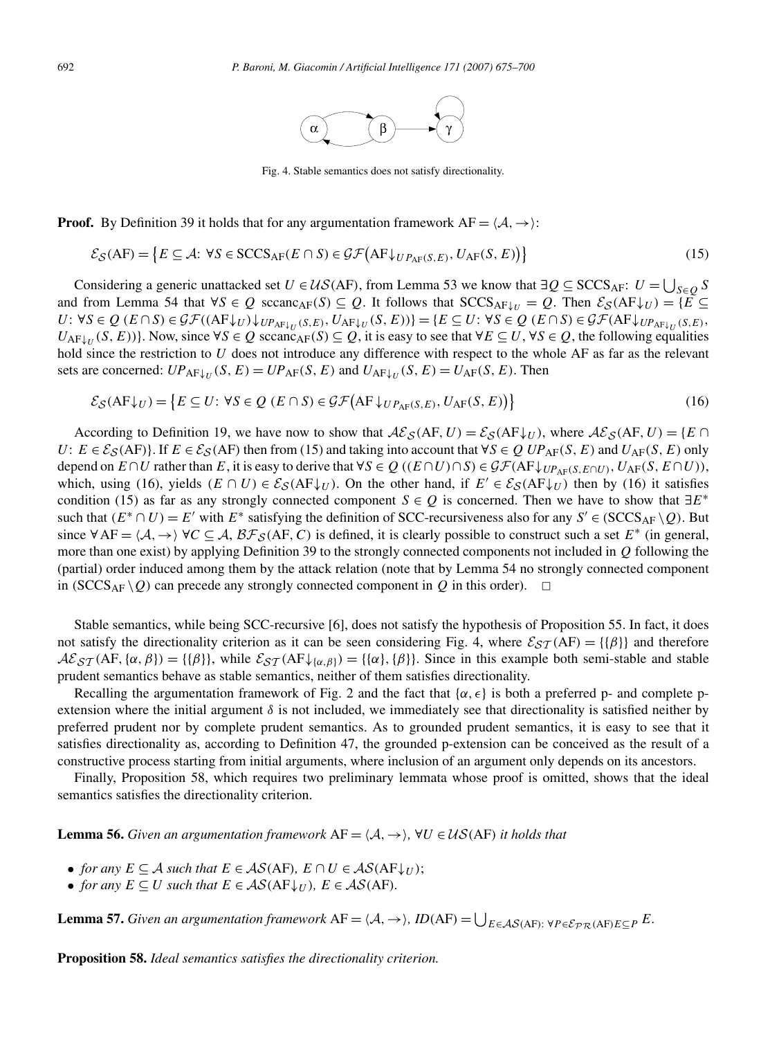

Fig. 4. Stable semantics does not satisfy directionality.

**Proof.** By Definition 39 it holds that for any argumentation framework  $AF = \langle A, \rightarrow \rangle$ :

$$
\mathcal{E}_{\mathcal{S}}(AF) = \{ E \subseteq \mathcal{A} : \forall S \in \text{SCCS}_{AF}(E \cap S) \in \mathcal{GF}(AF \downarrow_{UP_{AF}(S,E)}, U_{AF}(S,E)) \}
$$
(15)

Considering a generic unattacked set  $U \in \mathcal{US}(AF)$ , from Lemma 53 we know that  $\exists Q \subseteq \text{SCCS}_{AF}: U = \bigcup_{S \in Q} S$ and from Lemma 54 that  $\forall S \in Q$  sccanc<sub>AF</sub>(S)  $\subseteq Q$ . It follows that  $SCCS_{AF\downarrow U} = Q$ . Then  $\mathcal{E}_{S}(AF\downarrow U) = \{E \subseteq$  $U: \forall S \in Q \ (E \cap S) \in \mathcal{GF}((\mathbf{AF}\downarrow_U)\downarrow_{UP_{\mathbf{AF}\downarrow_U}(S,E)}, U_{\mathbf{AF}\downarrow_U}(S,E))\} = \{E \subseteq U: \forall S \in Q \ (E \cap S) \in \mathcal{GF}(\mathbf{AF}\downarrow_{UP_{\mathbf{AF}\downarrow_U}(S,E)}, E) \}$  $U_{\text{AF}\downarrow U}(S, E)$ }. Now, since  $\forall S \in Q$  sccanc<sub>AF</sub> $(S) \subseteq Q$ , it is easy to see that  $\forall E \subseteq U, \forall S \in Q$ , the following equalities hold since the restriction to *U* does not introduce any difference with respect to the whole AF as far as the relevant sets are concerned:  $UP_{AF\downarrow U}(S, E) = UP_{AF}(S, E)$  and  $U_{AF\downarrow U}(S, E) = U_{AF}(S, E)$ . Then

$$
\mathcal{E}_{\mathcal{S}}(AF\downarrow_U) = \{ E \subseteq U : \forall S \in Q \ (E \cap S) \in \mathcal{GF}(AF\downarrow_{UP_{AF}(S,E)}, U_{AF}(S,E)) \}
$$
(16)

According to Definition 19, we have now to show that  $\mathcal{A}\mathcal{E}_{\mathcal{S}}(AF, U) = \mathcal{E}_{\mathcal{S}}(AF\downarrow_U)$ , where  $\mathcal{A}\mathcal{E}_{\mathcal{S}}(AF, U) = \{E \cap E\}$ *U*:  $E \in \mathcal{E}_{\mathcal{S}}(AF)$ }. If  $E \in \mathcal{E}_{\mathcal{S}}(AF)$  then from (15) and taking into account that  $\forall S \in \mathcal{Q}$  *UP*<sub>AF</sub>*(S, E)* and *U<sub>AF</sub>(S, E)* only depend on  $E \cap U$  rather than  $E$ , it is easy to derive that  $\forall S \in Q$  ( $(E \cap U) \cap S$ )  $\in \mathcal{GF}(AF \downarrow_{UP_{AF}(S, E \cap U)}, U_{AF}(S, E \cap U))$ , which, using (16), yields  $(E \cap U) \in \mathcal{E}_{\mathcal{S}}(AF \downarrow_U)$ . On the other hand, if  $E' \in \mathcal{E}_{\mathcal{S}}(AF \downarrow_U)$  then by (16) it satisfies condition (15) as far as any strongly connected component *S*  $\in$  *Q* is concerned. Then we have to show that  $\exists E^*$ such that  $(E^* \cap U) = E'$  with  $E^*$  satisfying the definition of SCC-recursiveness also for any  $S' \in (SCCS_{AF} \setminus Q)$ . But since  $\forall AF = \langle A, \rightarrow \rangle \forall C \subseteq A$ ,  $\beta \mathcal{F}_S(AF, C)$  is defined, it is clearly possible to construct such a set  $E^*$  (in general, more than one exist) by applying Definition 39 to the strongly connected components not included in *Q* following the (partial) order induced among them by the attack relation (note that by Lemma 54 no strongly connected component in *(SCCS<sub>AF</sub>*  $\setminus$ *Q)* can precede any strongly connected component in *Q* in this order).  $\Box$ 

Stable semantics, while being SCC-recursive [6], does not satisfy the hypothesis of Proposition 55. In fact, it does not satisfy the directionality criterion as it can be seen considering Fig. 4, where  $\mathcal{E}_{ST}(AF) = \{\{\beta\}\}\$ and therefore  $\mathcal{A}\mathcal{E}_{ST}(\text{AF}, \{\alpha, \beta\}) = \{\{\beta\}\}\$ , while  $\mathcal{E}_{ST}(\text{AF}\downarrow_{\{\alpha, \beta\}}) = \{\{\alpha\}, \{\beta\}\}\$ . Since in this example both semi-stable and stable prudent semantics behave as stable semantics, neither of them satisfies directionality.

Recalling the argumentation framework of Fig. 2 and the fact that  $\{\alpha, \epsilon\}$  is both a preferred p- and complete pextension where the initial argument  $\delta$  is not included, we immediately see that directionality is satisfied neither by preferred prudent nor by complete prudent semantics. As to grounded prudent semantics, it is easy to see that it satisfies directionality as, according to Definition 47, the grounded p-extension can be conceived as the result of a constructive process starting from initial arguments, where inclusion of an argument only depends on its ancestors.

Finally, Proposition 58, which requires two preliminary lemmata whose proof is omitted, shows that the ideal semantics satisfies the directionality criterion.

**Lemma 56.** *Given an argumentation framework*  $AF = \langle A, \rightarrow \rangle$ ,  $\forall U \in \mathcal{US}(AF)$  *it holds that* 

- *for any*  $E \subseteq A$  *such that*  $E \in AS(AF)$ *,*  $E \cap U \in AS(AF\downarrow_{U})$ ;
- *for any*  $E \subseteq U$  *such that*  $E \in AS(AF\downarrow_{U})$ *,*  $E \in AS(AF)$ *.*

**Lemma 57.** Given an argumentation framework  $AF = \langle A, \rightarrow \rangle$ ,  $ID(AF) = \bigcup_{E \in \mathcal{AS}(AF): \forall P \in \mathcal{E}_{PR}(AF)E \subseteq P} E$ .

**Proposition 58.** *Ideal semantics satisfies the directionality criterion.*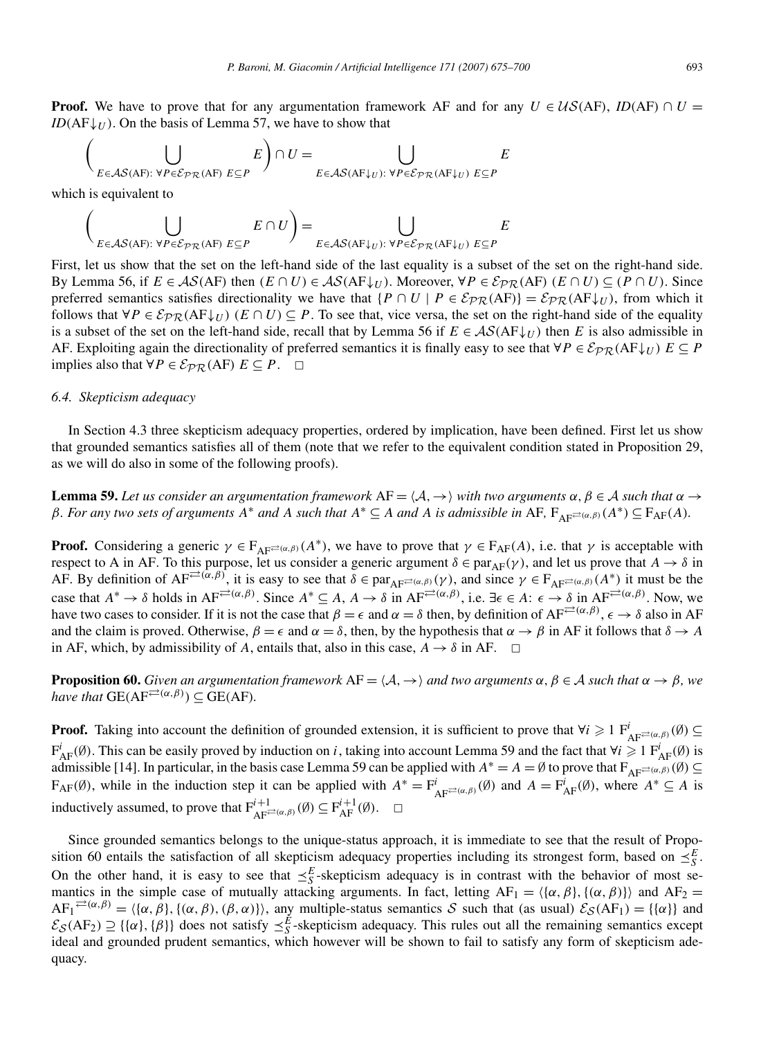**Proof.** We have to prove that for any argumentation framework AF and for any  $U \in \mathcal{US}(AF)$ , *ID*(AF)  $\cap U =$ *ID*( $AF\downarrow$ *U*). On the basis of Lemma 57, we have to show that

$$
\left(\bigcup_{E \in \mathcal{AS}(AF): \forall P \in \mathcal{E}_{PR}(AF) } E\right) \cap U = \bigcup_{E \in \mathcal{AS}(AF\downarrow U): \forall P \in \mathcal{E}_{PR}(AF\downarrow U) } E
$$

which is equivalent to

$$
\left(\bigcup_{E \in \mathcal{AS}(AF): \forall P \in \mathcal{E}_{PR}(AF)} E \cap U\right) = \bigcup_{E \in \mathcal{AS}(AF\downarrow_U): \forall P \in \mathcal{E}_{PR}(AF\downarrow_U)} E \subseteq E
$$

First, let us show that the set on the left-hand side of the last equality is a subset of the set on the right-hand side. By Lemma 56, if  $E \in AS(AF)$  then  $(E \cap U) \in AS(AF \downarrow_{U})$ . Moreover,  $\forall P \in \mathcal{E}_{PR}(AF)$   $(E \cap U) \subseteq (P \cap U)$ . Since preferred semantics satisfies directionality we have that  $\{P \cap U \mid P \in \mathcal{E}_{PR}(AF)\} = \mathcal{E}_{PR}(AF \downarrow_U)$ , from which it follows that  $∀P ∈ E_{PR}(AF↓U)$  ( $E ∩ U$ ) ⊆  $P$ . To see that, vice versa, the set on the right-hand side of the equality is a subset of the set on the left-hand side, recall that by Lemma 56 if  $E \in AS(AF\downarrow_U)$  then *E* is also admissible in AF. Exploiting again the directionality of preferred semantics it is finally easy to see that  $\forall P \in \mathcal{E}_{PR}(AF\downarrow_U)$   $E \subseteq P$ implies also that  $\forall P \in \mathcal{E}_{PR}(AF) \ E \subseteq P$ .  $\Box$ 

#### *6.4. Skepticism adequacy*

In Section 4.3 three skepticism adequacy properties, ordered by implication, have been defined. First let us show that grounded semantics satisfies all of them (note that we refer to the equivalent condition stated in Proposition 29, as we will do also in some of the following proofs).

**Lemma 59.** *Let us consider an argumentation framework*  $AF = \langle A, \rightarrow \rangle$  *with two arguments*  $\alpha, \beta \in A$  *such that*  $\alpha \rightarrow$ *β. For any two sets of arguments*  $A^*$  *and*  $A$  *such that*  $A^* \subseteq A$  *and*  $A$  *is admissible in*  $AF$ ,  $F_{AF} \rightleftharpoons (a, \beta) (A^*) \subseteq F_{AF}(A)$ *.* 

**Proof.** Considering a generic  $\gamma \in F_{AF^{\text{cl}}(\alpha,\beta)}(A^*)$ , we have to prove that  $\gamma \in F_{AF}(A)$ , i.e. that  $\gamma$  is acceptable with respect to A in AF. To this purpose, let us consider a generic argument  $\delta \in par_{AF}(\gamma)$ , and let us prove that  $A \to \delta$  in AF. By definition of  $AF^{\rightleftarrows(\alpha,\beta)}$ , it is easy to see that  $\delta \in par_{AF^{\rightleftarrows(\alpha,\beta)}(\gamma)}$ , and since  $\gamma \in F_{AF^{\rightleftarrows(\alpha,\beta)}(A^*)}$  it must be the case that  $A^* \to \delta$  holds in  $AF^{\rightleftarrows(\alpha,\beta)}$ . Since  $A^* \subseteq A$ ,  $A \to \delta$  in  $AF^{\rightleftarrows(\alpha,\beta)}$ , i.e.  $\exists \epsilon \in A$ :  $\epsilon \to \delta$  in  $AF^{\rightleftarrows(\alpha,\beta)}$ . Now, we have two cases to consider. If it is not the case that  $\beta = \epsilon$  and  $\alpha = \delta$  then, by definition of  $AF^{\rightleftarrows(\alpha,\beta)}$ ,  $\epsilon \to \delta$  also in AF and the claim is proved. Otherwise,  $\beta = \epsilon$  and  $\alpha = \delta$ , then, by the hypothesis that  $\alpha \to \beta$  in AF it follows that  $\delta \to A$ in AF, which, by admissibility of *A*, entails that, also in this case,  $A \rightarrow \delta$  in AF.  $\Box$ 

**Proposition 60.** *Given an argumentation framework*  $AF = \langle A, \rightarrow \rangle$  *and two arguments*  $\alpha, \beta \in A$  *such that*  $\alpha \rightarrow \beta$ *, we have that*  $GE(AF^{\rightleftarrows(\alpha,\beta)}) \subseteq GE(AF)$ *.* 

**Proof.** Taking into account the definition of grounded extension, it is sufficient to prove that  $\forall i \geq 1$   $F^i_{AF^{i\rightleftharpoons(\alpha,\beta)}}(\emptyset) \subseteq$  $F_{AF}^i(\emptyset)$ . This can be easily proved by induction on *i*, taking into account Lemma 59 and the fact that  $\forall i \ge 1$   $F_{AF}^i(\emptyset)$  is admissible [14]. In particular, in the basis case Lemma 59 can be applied with  $A^* = A = \emptyset$  to prove that  $F_{AF} \equiv \alpha, \beta \in \Omega$  $F_{AF}(\emptyset)$ , while in the induction step it can be applied with  $A^* = F^i_{AF^{\rightleftarrows}(\alpha,\beta)}(\emptyset)$  and  $A = F^i_{AF}(\emptyset)$ , where  $A^* \subseteq A$  is inductively assumed, to prove that  $F_{AF^{\rightleftarrows(\alpha,\beta)}}^{i+1}(\emptyset) \subseteq F_{AF}^{i+1}(\emptyset)$ .  $\Box$ 

Since grounded semantics belongs to the unique-status approach, it is immediate to see that the result of Proposition 60 entails the satisfaction of all skepticism adequacy properties including its strongest form, based on  $\leq_S^E$ . On the other hand, it is easy to see that  $\leq_S^E$ -skepticism adequacy is in contrast with the behavior of most semantics in the simple case of mutually attacking arguments. In fact, letting  $AF_1 = \langle \{\alpha, \beta\}, \{\alpha, \beta\}\rangle$  and  $AF_2 = \{\{\alpha, \beta\}\}\rangle$  $AF_1^{\rightleftarrows(\alpha,\beta)} = \langle {\alpha, \beta} \rangle$ ,  ${\alpha, \beta}$ ,  ${\beta, (\alpha, \beta)}$ ,  ${\beta, \alpha}$ }, any multiple-status semantics S such that (as usual)  $\mathcal{E}_{\mathcal{S}}(AF_1) = {\alpha}$ } and  $\mathcal{E}_{\mathcal{S}}(AF_2) \supseteq {\{\alpha\}, \{\beta\}}$  does not satisfy  $\leq^E_{\mathcal{S}}$ -skepticism adequacy. This rules out all the remaining semantics except ideal and grounded prudent semantics, which however will be shown to fail to satisfy any form of skepticism adequacy.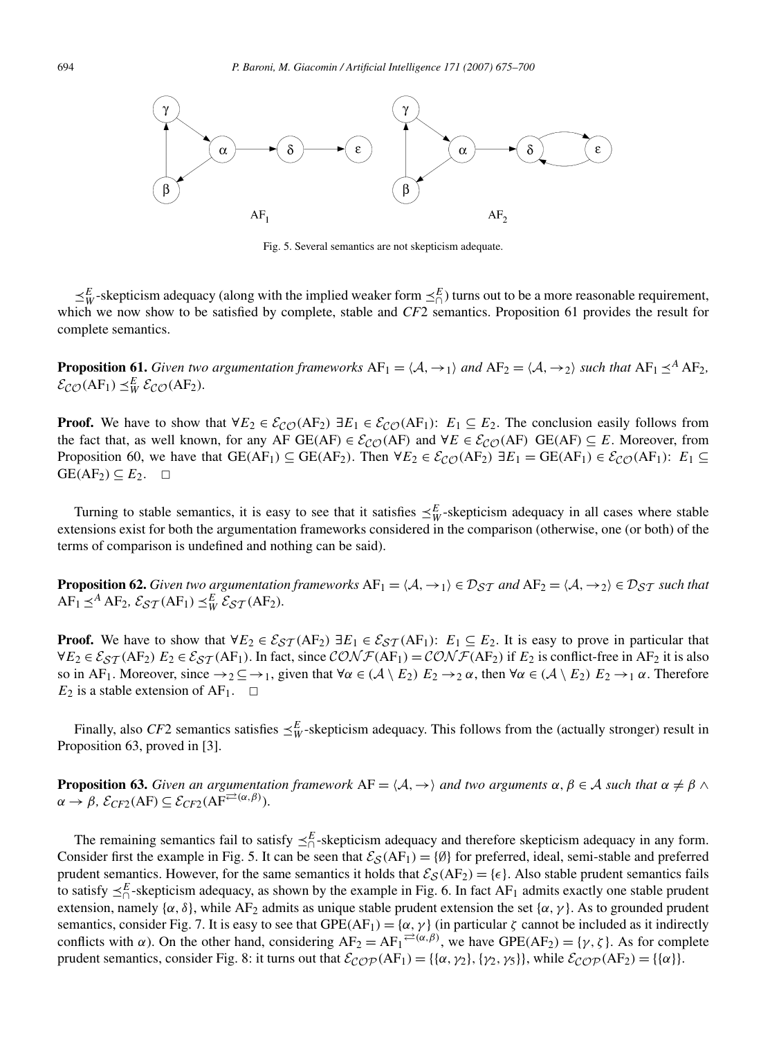

Fig. 5. Several semantics are not skepticism adequate.

 $\leq^E_W$ -skepticism adequacy (along with the implied weaker form  $\leq^E_\cap$ ) turns out to be a more reasonable requirement, which we now show to be satisfied by complete, stable and *CF2* semantics. Proposition 61 provides the result for complete semantics.

**Proposition 61.** *Given two argumentation frameworks*  $AF_1 = \langle A, \rightarrow_1 \rangle$  *and*  $AF_2 = \langle A, \rightarrow_2 \rangle$  *such that*  $AF_1 \preceq^A AF_2$ *,*  $\mathcal{E}_{\mathcal{CO}}(AF_1) \preceq_W^E \mathcal{E}_{\mathcal{CO}}(AF_2)$ *.* 

**Proof.** We have to show that  $\forall E_2 \in \mathcal{E}_{CO}(AF_2) \exists E_1 \in \mathcal{E}_{CO}(AF_1)$ :  $E_1 \subseteq E_2$ . The conclusion easily follows from the fact that, as well known, for any AF GE(AF)  $\in \mathcal{E}_{CO}(AF)$  and  $\forall E \in \mathcal{E}_{CO}(AF)$  GE(AF)  $\subseteq E$ . Moreover, from Proposition 60, we have that  $GE(AF_1) \subseteq GE(AF_2)$ . Then  $\forall E_2 \in \mathcal{E}_{\mathcal{CO}}(F_2) \exists E_1 = GE(AF_1) \in \mathcal{E}_{\mathcal{CO}}(F_1)$ :  $E_1 \subseteq$  $GE(AF_2) \subseteq E_2$ .  $\Box$ 

Turning to stable semantics, it is easy to see that it satisfies  $\leq^E_W$ -skepticism adequacy in all cases where stable extensions exist for both the argumentation frameworks considered in the comparison (otherwise, one (or both) of the terms of comparison is undefined and nothing can be said).

**Proposition 62.** *Given two argumentation frameworks*  $AF_1 = \langle A, \rightarrow_1 \rangle \in \mathcal{D}_{ST}$  *and*  $AF_2 = \langle A, \rightarrow_2 \rangle \in \mathcal{D}_{ST}$  *such that*  $AF_1 \leq^A AF_2$ ,  $\mathcal{E}_{ST}(AF_1) \leq^E_W \mathcal{E}_{ST}(AF_2)$ *.* 

**Proof.** We have to show that  $\forall E_2 \in \mathcal{E}_{ST}(AF_2) \exists E_1 \in \mathcal{E}_{ST}(AF_1)$ :  $E_1 \subseteq E_2$ . It is easy to prove in particular that  $\forall E_2 \in \mathcal{E}_{ST}(AF_2)$   $E_2 \in \mathcal{E}_{ST}(AF_1)$ . In fact, since  $\mathcal{CONF}(AF_1) = \mathcal{CONF}(AF_2)$  if  $E_2$  is conflict-free in AF<sub>2</sub> it is also so in AF<sub>1</sub>. Moreover, since  $\rightarrow_2 \subseteq \rightarrow_1$ , given that  $\forall \alpha \in (\mathcal{A} \setminus E_2)$   $E_2 \rightarrow_2 \alpha$ , then  $\forall \alpha \in (\mathcal{A} \setminus E_2)$   $E_2 \rightarrow_1 \alpha$ . Therefore  $E_2$  is a stable extension of AF<sub>1</sub>.  $\Box$ 

Finally, also *CF*2 semantics satisfies  $\leq^E_W$ -skepticism adequacy. This follows from the (actually stronger) result in Proposition 63, proved in [3].

**Proposition 63.** *Given an argumentation framework*  $AF = \langle A, \rightarrow \rangle$  *and two arguments*  $\alpha, \beta \in A$  *such that*  $\alpha \neq \beta \land \beta$  $\alpha \rightarrow \beta$ ,  $\mathcal{E}_{CF2}(AF) \subseteq \mathcal{E}_{CF2}(AF^{\rightleftarrows(\alpha,\beta))}$ *.* 

The remaining semantics fail to satisfy  $\leq^E_{\cap}$ -skepticism adequacy and therefore skepticism adequacy in any form. Consider first the example in Fig. 5. It can be seen that  $\mathcal{E}_{\mathcal{S}}(AF_1) = \{\emptyset\}$  for preferred, ideal, semi-stable and preferred prudent semantics. However, for the same semantics it holds that  $\mathcal{E}_{\mathcal{S}}(AF_2) = \{\epsilon\}$ . Also stable prudent semantics fails to satisfy  $\leq^E_\cap$ -skepticism adequacy, as shown by the example in Fig. 6. In fact AF<sub>1</sub> admits exactly one stable prudent extension, namely { $\alpha$ ,  $\delta$ }, while AF<sub>2</sub> admits as unique stable prudent extension the set { $\alpha$ ,  $\gamma$ }. As to grounded prudent semantics, consider Fig. 7. It is easy to see that  $GPE(AF_1) = \{\alpha, \gamma\}$  (in particular  $\zeta$  cannot be included as it indirectly conflicts with *α*). On the other hand, considering  $AF_2 = AF_1^{\rightleftarrows(\alpha,\beta)}$ , we have  $GPE(AF_2) = \{\gamma,\zeta\}$ . As for complete prudent semantics, consider Fig. 8: it turns out that  $\mathcal{E_{COP}}(AF_1) = {\alpha, \gamma_2}, {\gamma_2}, {\gamma_3}, \text{ while } \mathcal{E_{COP}}(AF_2) = {\alpha}.$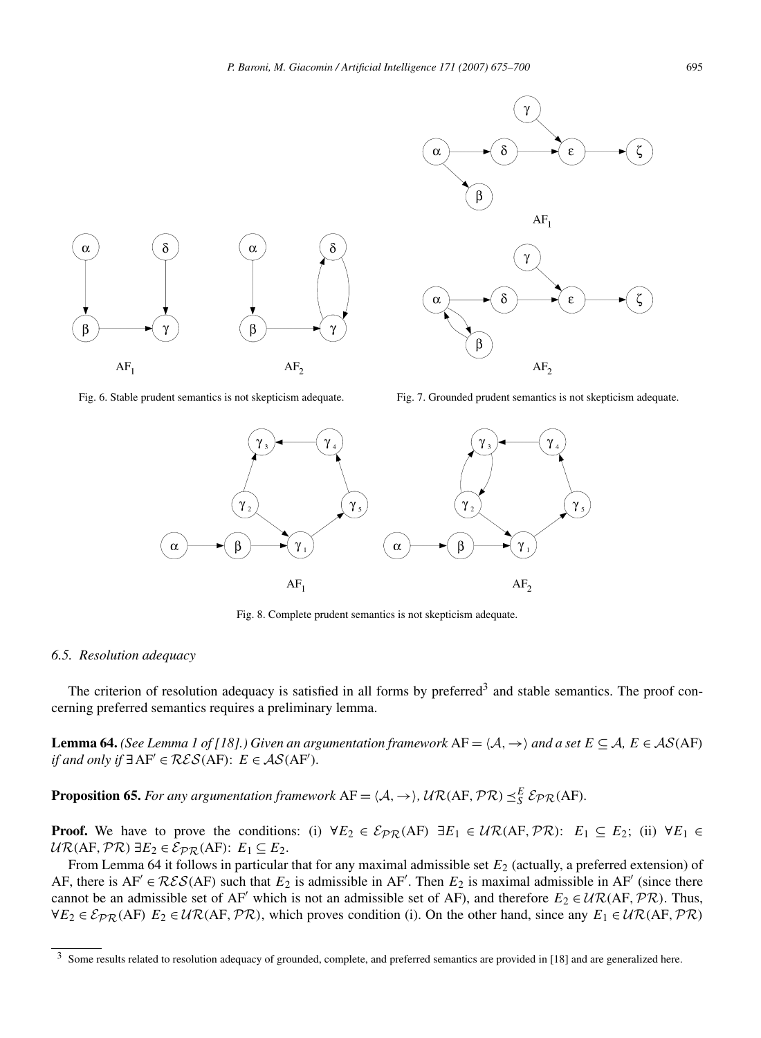

Fig. 6. Stable prudent semantics is not skepticism adequate. Fig. 7. Grounded prudent semantics is not skepticism adequate.



Fig. 8. Complete prudent semantics is not skepticism adequate.

## *6.5. Resolution adequacy*

The criterion of resolution adequacy is satisfied in all forms by preferred<sup>3</sup> and stable semantics. The proof concerning preferred semantics requires a preliminary lemma.

**Lemma 64.** *(See Lemma 1 of [18].) Given an argumentation framework*  $AF = \langle A, \rightarrow \rangle$  and a set  $E \subseteq A$ ,  $E \in AS(AF)$ *if and only if* ∃AF<sup> $\prime$ </sup> ∈  $\mathcal{RES}(AF)$ :  $E \in \mathcal{AS}(AF)$ *.* 

**Proposition 65.** For any argumentation framework  $AF = \langle A, \rightarrow \rangle$ ,  $UR(AF, PR) \leq_S^E$   $\mathcal{E}_{PR}(AF)$ *.* 

**Proof.** We have to prove the conditions: (i)  $\forall E_2 \in \mathcal{E}_{PR}(AF) \exists E_1 \in \mathcal{UR}(AF, PR)$ :  $E_1 \subseteq E_2$ ; (ii)  $\forall E_1 \in \mathcal{E}_{PR}(AF)$  $UR(AF, \mathcal{PR}) \exists E_2 \in \mathcal{E}_{PR}(AF): E_1 ⊆ E_2.$ 

From Lemma 64 it follows in particular that for any maximal admissible set  $E_2$  (actually, a preferred extension) of AF, there is  $AF' \in \mathcal{RES}(AF)$  such that  $E_2$  is admissible in  $AF'$ . Then  $E_2$  is maximal admissible in  $AF'$  (since there cannot be an admissible set of AF' which is not an admissible set of AF), and therefore  $E_2 \in \mathcal{UR}(AF, \mathcal{PR})$ . Thus,  $∀E_2 ∈ E<sub>PR</sub>(AF) E_2 ∈ U<sub>R</sub>(AF, PR)$ , which proves condition (i). On the other hand, since any  $E_1 ∈ U<sub>R</sub>(AF, PR)$ 

<sup>&</sup>lt;sup>3</sup> Some results related to resolution adequacy of grounded, complete, and preferred semantics are provided in [18] and are generalized here.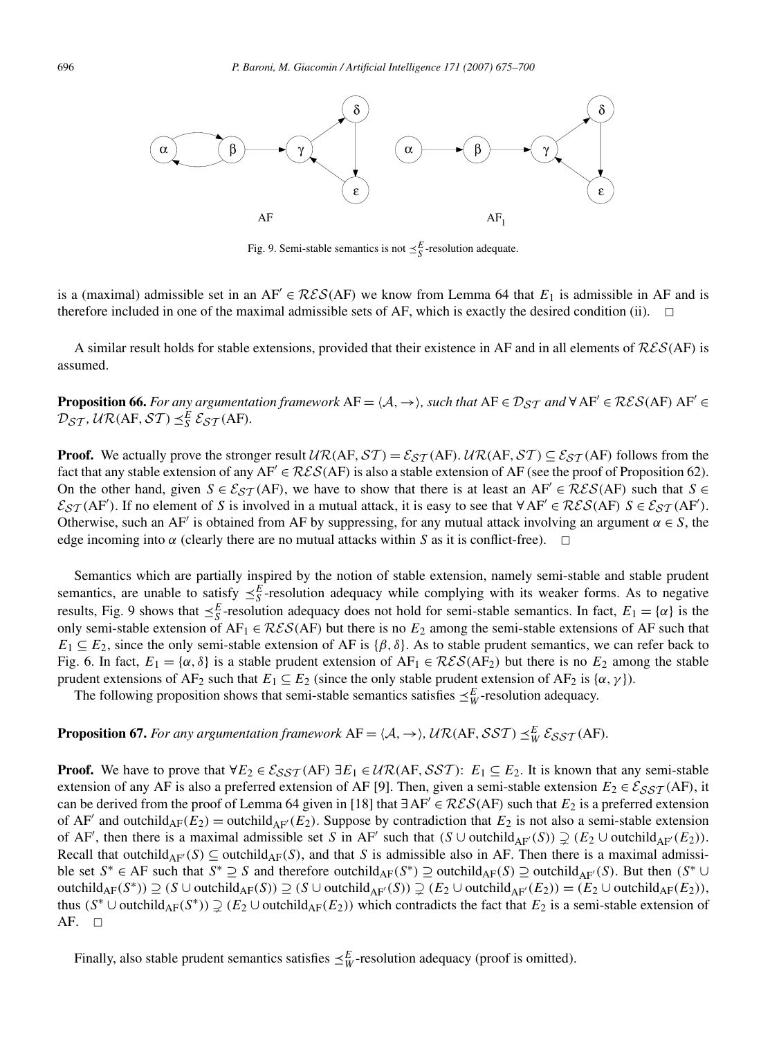

Fig. 9. Semi-stable semantics is not  $\leq_S^E$ -resolution adequate.

is a (maximal) admissible set in an  $AF' \in \mathcal{RES}(AF)$  we know from Lemma 64 that  $E_1$  is admissible in AF and is therefore included in one of the maximal admissible sets of AF, which is exactly the desired condition (ii).  $\Box$ 

A similar result holds for stable extensions, provided that their existence in AF and in all elements of RES*(*AF*)* is assumed.

**Proposition 66.** For any argumentation framework  $AF = \langle A, \rightarrow \rangle$ , such that  $AF \in \mathcal{D}_{ST}$  and  $\forall AF' \in \mathcal{RES}(AF)$   $AF' \in \mathcal{RES}(AF)$  $\mathcal{D}_{ST}$ *,*  $\mathcal{U}\mathcal{R}(AF,ST) \leq_S^E \mathcal{E}_{ST}(AF)$ *.* 

**Proof.** We actually prove the stronger result  $\mathcal{UR}(AF,ST) = \mathcal{E}_{ST}(AF)$ .  $\mathcal{UR}(AF,ST) \subseteq \mathcal{E}_{ST}(AF)$  follows from the fact that any stable extension of any  $AF \in \mathcal{RES}(AF)$  is also a stable extension of AF (see the proof of Proposition 62). On the other hand, given  $S \in \mathcal{E}_{ST}(AF)$ , we have to show that there is at least an  $AF' \in \mathcal{RES}(AF)$  such that  $S \in \mathcal{E}_{ST}(AF)$  $\mathcal{E}_{ST}$ (AF'). If no element of *S* is involved in a mutual attack, it is easy to see that  $\forall AF \in \mathcal{RES}(AF)$   $S \in \mathcal{E}_{ST}(AF)$ . Otherwise, such an AF' is obtained from AF by suppressing, for any mutual attack involving an argument  $\alpha \in S$ , the edge incoming into  $\alpha$  (clearly there are no mutual attacks within *S* as it is conflict-free).  $\Box$ 

Semantics which are partially inspired by the notion of stable extension, namely semi-stable and stable prudent semantics, are unable to satisfy  $\leq_S^E$ -resolution adequacy while complying with its weaker forms. As to negative results, Fig. 9 shows that  $\leq_S^E$ -resolution adequacy does not hold for semi-stable semantics. In fact,  $E_1 = \{\alpha\}$  is the only semi-stable extension of  $AF_1 \in \mathcal{RES}(AF)$  but there is no  $E_2$  among the semi-stable extensions of AF such that  $E_1 \subseteq E_2$ , since the only semi-stable extension of AF is  $\{\beta, \delta\}$ . As to stable prudent semantics, we can refer back to Fig. 6. In fact,  $E_1 = \{\alpha, \delta\}$  is a stable prudent extension of  $AF_1 \in \mathcal{RES}(AF_2)$  but there is no  $E_2$  among the stable prudent extensions of AF<sub>2</sub> such that  $E_1 \subseteq E_2$  (since the only stable prudent extension of AF<sub>2</sub> is {*α, γ* }).

The following proposition shows that semi-stable semantics satisfies  $\leq^E_W$ -resolution adequacy.

## **Proposition 67.** For any argumentation framework  $AF = \langle A, \rightarrow \rangle$ ,  $UR(AF, \mathcal{SST}) \preceq_W^E \mathcal{E}_{\mathcal{SST}}(AF)$ .

**Proof.** We have to prove that  $\forall E_2 \in \mathcal{E}_{SST}(AF) \exists E_1 \in \mathcal{UR}(AF, SST)$ :  $E_1 \subseteq E_2$ . It is known that any semi-stable extension of any AF is also a preferred extension of AF [9]. Then, given a semi-stable extension  $E_2 \in \mathcal{E}_{SST}(AF)$ , it can be derived from the proof of Lemma 64 given in [18] that <sup>∃</sup>AF <sup>∈</sup> RES*(*AF*)* such that *<sup>E</sup>*<sup>2</sup> is a preferred extension of AF' and outchild<sub>AF</sub>( $E_2$ ) = outchild<sub>AF</sub>'( $E_2$ ). Suppose by contradiction that  $E_2$  is not also a semi-stable extension of AF', then there is a maximal admissible set *S* in AF' such that  $(S \cup \text{outchild}_{AF}(S)) \supsetneq (E_2 \cup \text{outchild}_{AF'}(E_2))$ . Recall that outchild<sub>AF</sub> $(S) \subseteq$  outchild<sub>AF</sub> $(S)$ , and that *S* is admissible also in AF. Then there is a maximal admissible set  $S^* \in AF$  such that  $S^* \supseteq S$  and therefore outchild<sub>AF</sub> $(S^*) \supseteq$  outchild<sub>AF</sub> $(S) \supseteq$  outchild<sub>AF</sub> $(S)$ . But then  $(S^* \cup$  $\text{outchild}_{\text{AF}}(S^*)$ )  $\supseteq$   $(S \cup \text{outchild}_{\text{AF}}(S))$   $\supseteq$   $(S \cup \text{outchild}_{\text{AF}}(S))$   $\supseteq$   $(E_2 \cup \text{outchild}_{\text{AF}}(E_2))$ , thus  $(S^* \cup \text{outchild}_{AF}(S^*))$   $\supseteq (E_2 \cup \text{outchild}_{AF}(E_2))$  which contradicts the fact that  $E_2$  is a semi-stable extension of AF.  $\square$ 

Finally, also stable prudent semantics satisfies  $\leq^E_W$ -resolution adequacy (proof is omitted).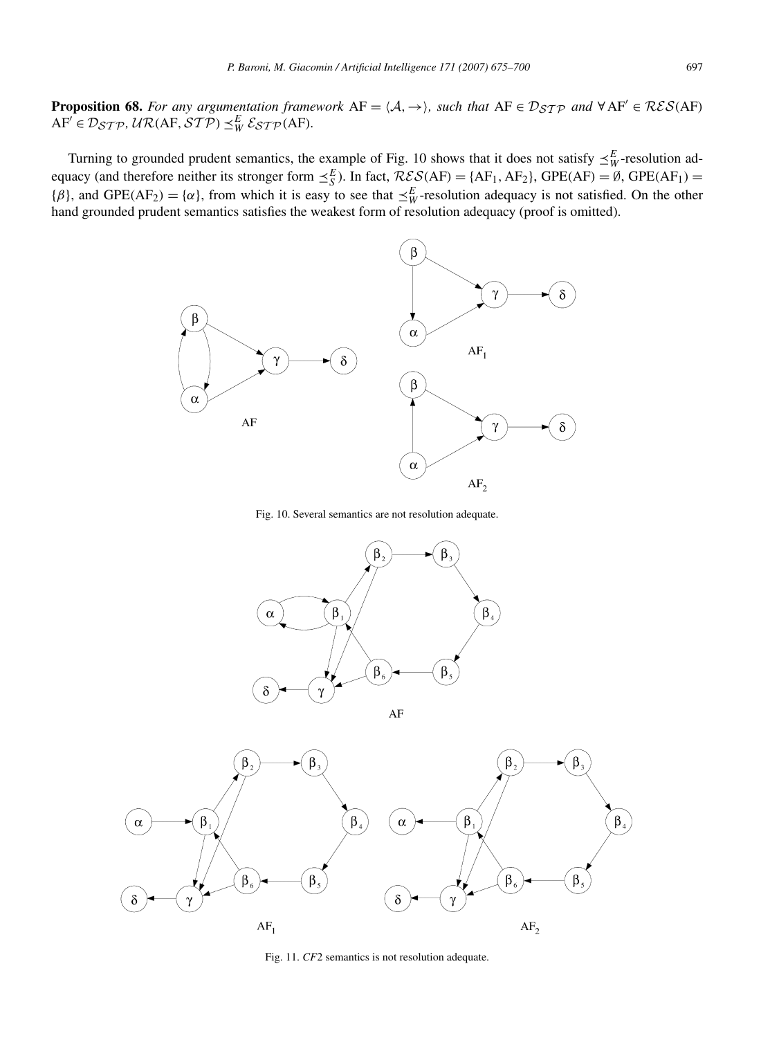**Proposition 68.** *For any argumentation framework*  $AF = \langle A, \rightarrow \rangle$ *, such that*  $AF \in \mathcal{D}_{STP}$  *and*  $\forall AF \in \mathcal{RES}(AF)$  $AF' \in \mathcal{D}_{STP}$ ,  $UR(AF, STP) \preceq_W^E \mathcal{E}_{STP}(AF)$ *.* 

Turning to grounded prudent semantics, the example of Fig. 10 shows that it does not satisfy  $\leq^E_W$ -resolution adequacy (and therefore neither its stronger form  $\leq_S^E$ ). In fact,  $\mathcal{RES}(AF) = \{AF_1, AF_2\}$ ,  $GPE(AF) = \emptyset$ ,  $GPE(AF_1) = \emptyset$  ${\beta}$ , and GPE(AF<sub>2</sub>) = { $\alpha$ }, from which it is easy to see that  $\leq^E_W$ -resolution adequacy is not satisfied. On the other hand grounded prudent semantics satisfies the weakest form of resolution adequacy (proof is omitted).



Fig. 10. Several semantics are not resolution adequate.





Fig. 11. *CF*2 semantics is not resolution adequate.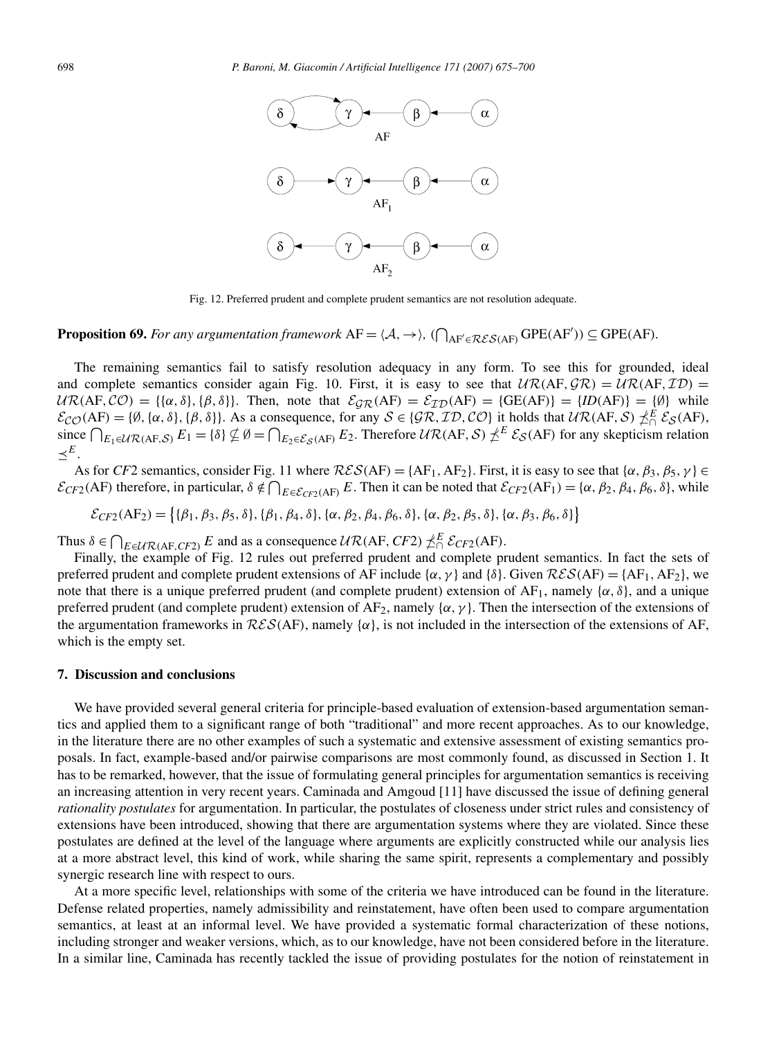

Fig. 12. Preferred prudent and complete prudent semantics are not resolution adequate.

# **Proposition 69.** For any argumentation framework  $AF = \langle A, \rightarrow \rangle$ ,  $(\bigcap_{AF' \in \mathcal{RES}(AF)} GPE(AF')) \subseteq GPE(AF)$ *.*

The remaining semantics fail to satisfy resolution adequacy in any form. To see this for grounded, ideal and complete semantics consider again Fig. 10. First, it is easy to see that  $UR(AF, GR) = UR(AF, ID)$  $UR(AF, CO) = {\alpha, \delta}, {\beta, \delta}.$  Then, note that  $\mathcal{E}_{GR}(AF) = \mathcal{E}_{ID}(AF) = {GE(AF)} = {ID(AF)} = {\emptyset}$  while  $\mathcal{E}_{\mathcal{CO}}(AF) = \{\emptyset, \{\alpha, \delta\}, \{\beta, \delta\}\}\.$  As a consequence, for any  $\mathcal{S} \in \{\mathcal{GR}, \mathcal{ID}, \mathcal{CO}\}\)$  it holds that  $\mathcal{UR}(AF, \mathcal{S}) \npreceq_E^E \mathcal{E}_{\mathcal{S}}(AF)$ ,<br>since  $\bigcap_{E_1 \in \mathcal{UR}(AF, \mathcal{S})} E_1 = \{\delta\} \nsubseteq \emptyset = \bigcap_{E_2 \in \mathcal{E}_{\mathcal{$  $\prec^E$ .

As for *CF*2 semantics, consider Fig. 11 where  $\mathcal{RES}(AF) = \{AF_1, AF_2\}$ . First, it is easy to see that  $\{\alpha, \beta_3, \beta_5, \gamma\} \in$  $\mathcal{E}_{CF2}(AF)$  therefore, in particular,  $\delta \notin \bigcap_{E \in \mathcal{E}_{CF2}(AF)} E$ . Then it can be noted that  $\mathcal{E}_{CF2}(AF_1) = \{\alpha, \beta_2, \beta_4, \beta_6, \delta\}$ , while

 $\mathcal{E}_{CF2}(AF_2) = \{ \{\beta_1, \beta_3, \beta_5, \delta\}, \{\beta_1, \beta_4, \delta\}, \{\alpha, \beta_2, \beta_4, \beta_6, \delta\}, \{\alpha, \beta_2, \beta_5, \delta\}, \{\alpha, \beta_3, \beta_6, \delta\} \}$ 

Thus  $\delta \in \bigcap_{E \in \mathcal{UR}(AF, CF^2)} E$  and as a consequence  $\mathcal{UR}(AF, CF^2) \nleq^E \mathcal{E}_{CF^2}(AF)$ .

Finally, the example of Fig. 12 rules out preferred prudent and complete prudent semantics. In fact the sets of preferred prudent and complete prudent extensions of AF include  $\{\alpha, \gamma\}$  and  $\{\delta\}$ . Given  $\mathcal{RES}(AF) = \{AF_1, AF_2\}$ , we note that there is a unique preferred prudent (and complete prudent) extension of AF<sub>1</sub>, namely {*α*, *δ*}, and a unique preferred prudent (and complete prudent) extension of AF<sub>2</sub>, namely { $\alpha$ ,  $\gamma$ }. Then the intersection of the extensions of the argumentation frameworks in  $\mathcal{RES}(AF)$ , namely  $\{\alpha\}$ , is not included in the intersection of the extensions of AF, which is the empty set.

#### **7. Discussion and conclusions**

We have provided several general criteria for principle-based evaluation of extension-based argumentation semantics and applied them to a significant range of both "traditional" and more recent approaches. As to our knowledge, in the literature there are no other examples of such a systematic and extensive assessment of existing semantics proposals. In fact, example-based and/or pairwise comparisons are most commonly found, as discussed in Section 1. It has to be remarked, however, that the issue of formulating general principles for argumentation semantics is receiving an increasing attention in very recent years. Caminada and Amgoud [11] have discussed the issue of defining general *rationality postulates* for argumentation. In particular, the postulates of closeness under strict rules and consistency of extensions have been introduced, showing that there are argumentation systems where they are violated. Since these postulates are defined at the level of the language where arguments are explicitly constructed while our analysis lies at a more abstract level, this kind of work, while sharing the same spirit, represents a complementary and possibly synergic research line with respect to ours.

At a more specific level, relationships with some of the criteria we have introduced can be found in the literature. Defense related properties, namely admissibility and reinstatement, have often been used to compare argumentation semantics, at least at an informal level. We have provided a systematic formal characterization of these notions, including stronger and weaker versions, which, as to our knowledge, have not been considered before in the literature. In a similar line, Caminada has recently tackled the issue of providing postulates for the notion of reinstatement in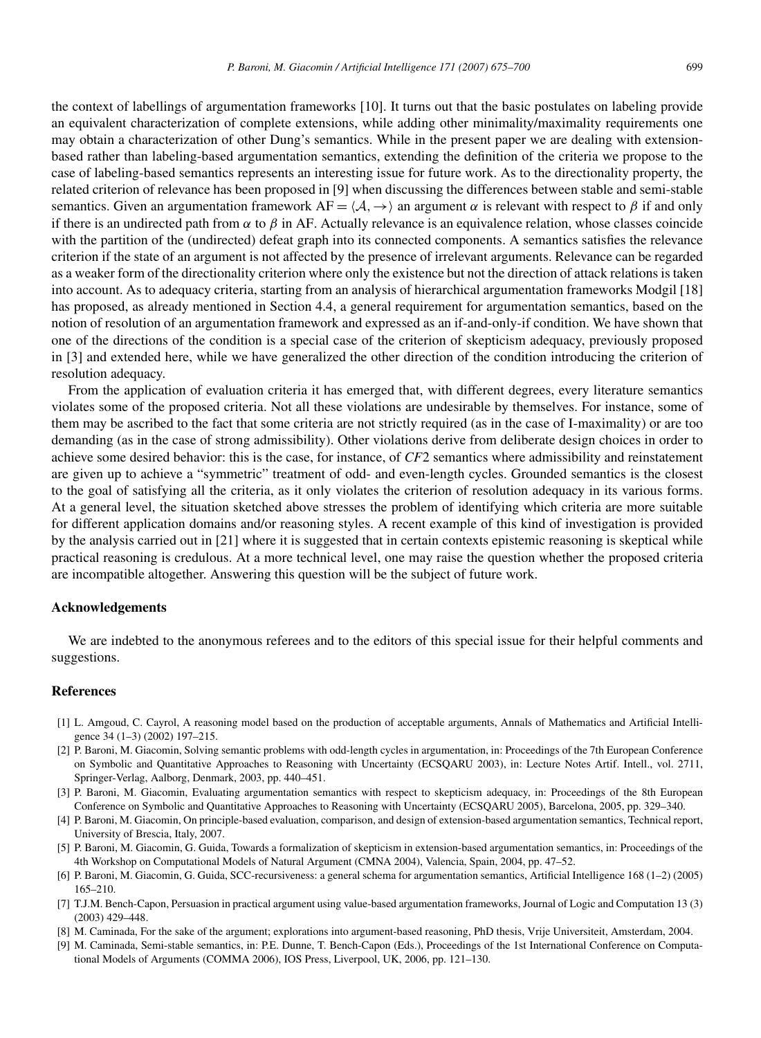the context of labellings of argumentation frameworks [10]. It turns out that the basic postulates on labeling provide an equivalent characterization of complete extensions, while adding other minimality/maximality requirements one may obtain a characterization of other Dung's semantics. While in the present paper we are dealing with extensionbased rather than labeling-based argumentation semantics, extending the definition of the criteria we propose to the case of labeling-based semantics represents an interesting issue for future work. As to the directionality property, the related criterion of relevance has been proposed in [9] when discussing the differences between stable and semi-stable semantics. Given an argumentation framework  $AF = \langle A, \rightarrow \rangle$  an argument  $\alpha$  is relevant with respect to  $\beta$  if and only if there is an undirected path from  $\alpha$  to  $\beta$  in AF. Actually relevance is an equivalence relation, whose classes coincide with the partition of the (undirected) defeat graph into its connected components. A semantics satisfies the relevance criterion if the state of an argument is not affected by the presence of irrelevant arguments. Relevance can be regarded as a weaker form of the directionality criterion where only the existence but not the direction of attack relations is taken into account. As to adequacy criteria, starting from an analysis of hierarchical argumentation frameworks Modgil [18] has proposed, as already mentioned in Section 4.4, a general requirement for argumentation semantics, based on the notion of resolution of an argumentation framework and expressed as an if-and-only-if condition. We have shown that one of the directions of the condition is a special case of the criterion of skepticism adequacy, previously proposed in [3] and extended here, while we have generalized the other direction of the condition introducing the criterion of resolution adequacy.

From the application of evaluation criteria it has emerged that, with different degrees, every literature semantics violates some of the proposed criteria. Not all these violations are undesirable by themselves. For instance, some of them may be ascribed to the fact that some criteria are not strictly required (as in the case of I-maximality) or are too demanding (as in the case of strong admissibility). Other violations derive from deliberate design choices in order to achieve some desired behavior: this is the case, for instance, of *CF*2 semantics where admissibility and reinstatement are given up to achieve a "symmetric" treatment of odd- and even-length cycles. Grounded semantics is the closest to the goal of satisfying all the criteria, as it only violates the criterion of resolution adequacy in its various forms. At a general level, the situation sketched above stresses the problem of identifying which criteria are more suitable for different application domains and/or reasoning styles. A recent example of this kind of investigation is provided by the analysis carried out in [21] where it is suggested that in certain contexts epistemic reasoning is skeptical while practical reasoning is credulous. At a more technical level, one may raise the question whether the proposed criteria are incompatible altogether. Answering this question will be the subject of future work.

#### **Acknowledgements**

We are indebted to the anonymous referees and to the editors of this special issue for their helpful comments and suggestions.

## **References**

- [1] L. Amgoud, C. Cayrol, A reasoning model based on the production of acceptable arguments, Annals of Mathematics and Artificial Intelligence 34 (1–3) (2002) 197–215.
- [2] P. Baroni, M. Giacomin, Solving semantic problems with odd-length cycles in argumentation, in: Proceedings of the 7th European Conference on Symbolic and Quantitative Approaches to Reasoning with Uncertainty (ECSQARU 2003), in: Lecture Notes Artif. Intell., vol. 2711, Springer-Verlag, Aalborg, Denmark, 2003, pp. 440–451.
- [3] P. Baroni, M. Giacomin, Evaluating argumentation semantics with respect to skepticism adequacy, in: Proceedings of the 8th European Conference on Symbolic and Quantitative Approaches to Reasoning with Uncertainty (ECSQARU 2005), Barcelona, 2005, pp. 329–340.
- [4] P. Baroni, M. Giacomin, On principle-based evaluation, comparison, and design of extension-based argumentation semantics, Technical report, University of Brescia, Italy, 2007.
- [5] P. Baroni, M. Giacomin, G. Guida, Towards a formalization of skepticism in extension-based argumentation semantics, in: Proceedings of the 4th Workshop on Computational Models of Natural Argument (CMNA 2004), Valencia, Spain, 2004, pp. 47–52.
- [6] P. Baroni, M. Giacomin, G. Guida, SCC-recursiveness: a general schema for argumentation semantics, Artificial Intelligence 168 (1–2) (2005) 165–210.
- [7] T.J.M. Bench-Capon, Persuasion in practical argument using value-based argumentation frameworks, Journal of Logic and Computation 13 (3) (2003) 429–448.
- [8] M. Caminada, For the sake of the argument; explorations into argument-based reasoning, PhD thesis, Vrije Universiteit, Amsterdam, 2004.
- [9] M. Caminada, Semi-stable semantics, in: P.E. Dunne, T. Bench-Capon (Eds.), Proceedings of the 1st International Conference on Computational Models of Arguments (COMMA 2006), IOS Press, Liverpool, UK, 2006, pp. 121–130.